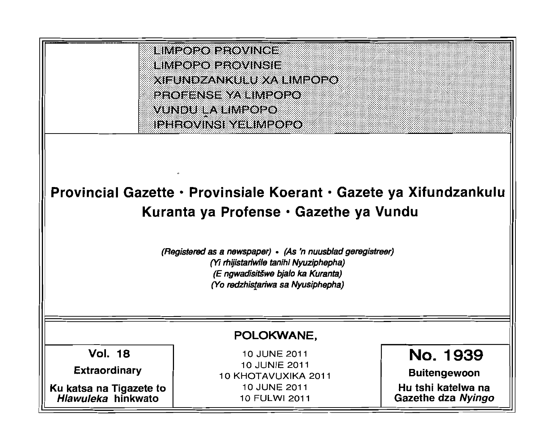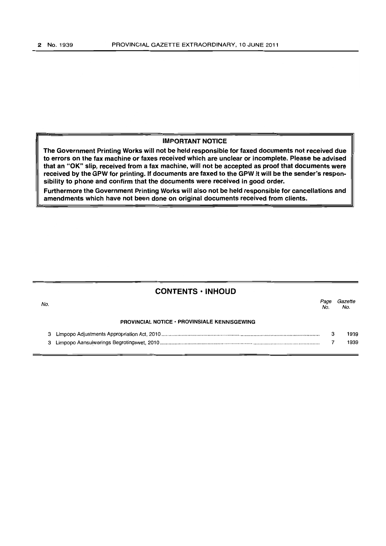# IMPORTANT NOTICE

The Government Printing Works will not be held responsible for faxed documents not received due to errors on the fax machine or faxes received which are unclear or incomplete. Please be advised that an "OK" Slip, received from a fax machine, will not be accepted as proof that documents were received by the GPW for printing. If documents are faxed to the GPW it will be the sender's responsibility to phone and confirm that the documents were received in good order.

Furthermore the Government Printing Works will also not be held responsible for cancellations and amendments which have not been done on original documents received from clients.

# CONTENTS ·INHOUD

| No. |                                                     | Page<br>No. | Gazette<br>No. |
|-----|-----------------------------------------------------|-------------|----------------|
|     | <b>PROVINCIAL NOTICE · PROVINSIALE KENNISGEWING</b> |             |                |
|     |                                                     |             | 1939           |
|     |                                                     |             | 1939           |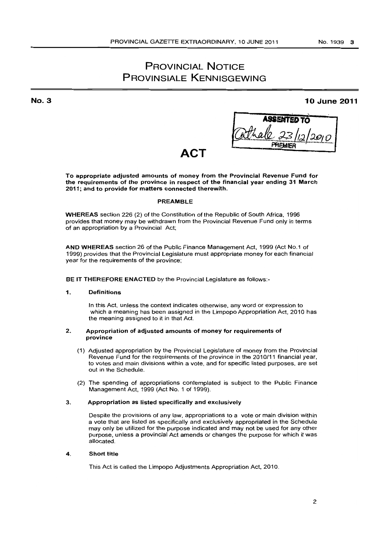# PROVINCIAL NOTICE PROVINSIALE KENNISGEWING

No.3

# **10** June **2011**

**ASSENTED** .: .............. ~ .... ~. *:'tJ.* /!).OJ *0* PAEMIE~·1 ... f..: ...... (. ......

# **ACT**

To appropriate adjusted amounts of money from the Provincial Revenue Fund for the requirements of the province in respect of the financial year ending 31 March 2011; and to provide for matters connected therewith.

# PREAMBLE

WHEREAS section 226 (2) of the Constitution of the Republic of South Africa, 1996 provides that money may be withdrawn from the Provincial Revenue Fund only in terms of an appropriation by a Provincial Act;

AND WHEREAS section 26 of the Public Finance Management Act. 1999 (Act NO.1 of 1999) provides that the Provincial legislature must appropriate money for each financial year for the requirements of the province;

# BE IT THEREFORE ENACTED by the Provincial Legislature as follows:-

# 1. Definitions

In this Act. unless the context indicates otherwise, any word or expression to which a meaning has been assigned in the Limpopo Appropriation Act, 2010 has the meaning assigned to it in that Act.

# 2. Appropriation of adjusted amounts of money for requirements of province

- (1) Adjusted appropriation by the Provincial legislature of money from the Provincial Revenue Fund for the requirements of the province in the 2010/11 financial year, to votes and main divisions within a vote, and for specific listed purposes, are set out in the Schedule.
- (2) The spending of appropriations contemplated is subject to the Public Finance Management Act. 1999 (Act No.1 of 1999).

# 3. Appropriation as listed specifically and exclusively

Despite the provisions of any law, appropriations to a vote or main division within a vote that are listed as specifically and exclusively appropriated in the Schedule may only be utilized for the purpose indicated and may not be used for any other purpose, unless a provincial Act amends or changes the purpose for which it was allocated.

# 4. Short title

This Act is called the Limpopo Adjustments Appropriation Act. 2010.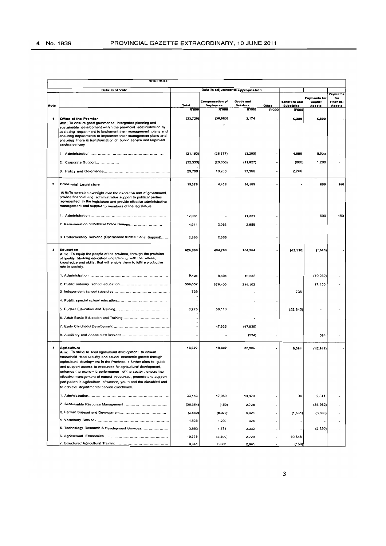|          | <b>SCHEDULE</b>                                                                                                                                                                                   |              |                                            |                              |              |                                   |                          |                           |  |  |  |
|----------|---------------------------------------------------------------------------------------------------------------------------------------------------------------------------------------------------|--------------|--------------------------------------------|------------------------------|--------------|-----------------------------------|--------------------------|---------------------------|--|--|--|
|          | Details of Vote                                                                                                                                                                                   |              | Details adjustments appropriation          |                              |              |                                   |                          |                           |  |  |  |
|          |                                                                                                                                                                                                   |              |                                            |                              |              |                                   | Payments for             | Payments<br>for           |  |  |  |
| Vote     |                                                                                                                                                                                                   | Total        | <b>Compensation of</b><br><b>Employees</b> | <b>Goods and</b><br>Services | Other        | Transfers and<br><b>Subsidies</b> | <b>Capital</b><br>Assots | <b>Hnancial</b><br>Assets |  |  |  |
|          |                                                                                                                                                                                                   | <b>R'000</b> | <b>R'000</b>                               | <b>R'000</b>                 | <b>R'000</b> | <b>R'000</b>                      |                          |                           |  |  |  |
| 1        | Office of the Premier                                                                                                                                                                             | (23, 720)    | (38, 983)                                  | 2,174                        |              | 6,289                             | 6,800                    |                           |  |  |  |
|          | AIM: To ensure good governance, intergrated planning and<br>sustainable development within the provincial administration by                                                                       |              |                                            |                              |              |                                   |                          |                           |  |  |  |
|          | assisting department to implement their management plans and<br>ensuring departments to implement their management plans and                                                                      |              |                                            |                              |              |                                   |                          |                           |  |  |  |
|          | ensuring there is transformation of public service and improved<br>service delivery                                                                                                               |              |                                            |                              |              |                                   |                          |                           |  |  |  |
|          |                                                                                                                                                                                                   |              |                                            |                              |              |                                   |                          |                           |  |  |  |
|          |                                                                                                                                                                                                   | (21, 153)    | (28, 377)                                  | (3,265)                      |              | 4,889                             | 5,600                    |                           |  |  |  |
|          | 2. Corporate Support                                                                                                                                                                              | (32, 333)    | (20, 806)                                  | (11, 927)                    |              | (800)                             | 1,200                    |                           |  |  |  |
|          |                                                                                                                                                                                                   | 29,766       | 10,200                                     | 17,366                       |              | 2,200                             |                          |                           |  |  |  |
| 2        | Provincial Legislature                                                                                                                                                                            | 19,375       | 4,436                                      | 14,189                       |              |                                   | 600                      | 150                       |  |  |  |
|          | AIM: To exercise oversight over the executive arm of government,                                                                                                                                  |              |                                            |                              |              |                                   |                          |                           |  |  |  |
|          | provide financial and administrative support to political parties<br>represented in the legislature and provide effective administrative<br>management and support to members of the legislature. |              |                                            |                              |              |                                   |                          |                           |  |  |  |
|          |                                                                                                                                                                                                   | 12,081       |                                            | 11,331                       |              |                                   | 600                      | 150                       |  |  |  |
|          |                                                                                                                                                                                                   |              |                                            |                              |              |                                   |                          |                           |  |  |  |
|          | 2. Remuneration of Political Office Bearers                                                                                                                                                       | 4,911        | 2,053                                      | 2,858                        |              |                                   |                          |                           |  |  |  |
|          | 3. Parliamentary Services (Operational &Institutional Support)                                                                                                                                    | 2,383        | 2,383                                      |                              |              |                                   |                          |                           |  |  |  |
| з        | Education                                                                                                                                                                                         | 626,069      | 494,768                                    | 184,964                      |              | (52, 110)                         | (1, 543)                 |                           |  |  |  |
|          | Aim: To equip the people of the province, through the provision<br>of quality life-long education and training, with the values,                                                                  |              |                                            |                              |              |                                   |                          |                           |  |  |  |
|          | knowledge and skills, that will enable them to fulfil a productive<br>role in society.                                                                                                            |              |                                            |                              |              |                                   |                          |                           |  |  |  |
|          |                                                                                                                                                                                                   |              |                                            |                              |              |                                   |                          |                           |  |  |  |
|          |                                                                                                                                                                                                   | 9,404        | 9,404                                      | 19,232                       |              |                                   | (19, 232)                |                           |  |  |  |
|          |                                                                                                                                                                                                   | 609,657      | 378,400                                    | 214,102                      |              |                                   | 17,155                   |                           |  |  |  |
|          |                                                                                                                                                                                                   | 735          |                                            |                              |              | 735                               |                          |                           |  |  |  |
|          |                                                                                                                                                                                                   |              |                                            |                              |              |                                   |                          |                           |  |  |  |
|          |                                                                                                                                                                                                   | 6,273        | 59,118                                     |                              |              | (52, 845)                         |                          |                           |  |  |  |
|          |                                                                                                                                                                                                   |              |                                            |                              |              |                                   |                          |                           |  |  |  |
|          |                                                                                                                                                                                                   |              | 47,836                                     | (47, 836)                    |              |                                   |                          |                           |  |  |  |
|          |                                                                                                                                                                                                   |              |                                            | (534)                        |              |                                   | 534                      |                           |  |  |  |
|          |                                                                                                                                                                                                   |              |                                            |                              |              |                                   |                          |                           |  |  |  |
| $\Delta$ | Agriculture<br>Aim: To strive to lead agricultural development to ensure                                                                                                                          | 18,627       | 18,302                                     | 33,906                       |              | 9,061                             | (42, 641)                |                           |  |  |  |
|          | household food security and sound economic growth through                                                                                                                                         |              |                                            |                              |              |                                   |                          |                           |  |  |  |
|          | agricultural development in the Province. It further aims to quide<br>and support access to resources for agricultural development,                                                               |              |                                            |                              |              |                                   |                          |                           |  |  |  |
|          | enhance the economic performance of the sector, ensure the                                                                                                                                        |              |                                            |                              |              |                                   |                          |                           |  |  |  |
|          | effective management of natural resources, promote and support<br>partipation in Agriculture of wornen, youth and the diasabled and                                                               |              |                                            |                              |              |                                   |                          |                           |  |  |  |
|          | to achieve departmental service excellence.                                                                                                                                                       |              |                                            |                              |              |                                   |                          |                           |  |  |  |
|          |                                                                                                                                                                                                   | 33,143       | 17,059                                     | 13,379                       |              | 94                                | 2,611                    |                           |  |  |  |
|          |                                                                                                                                                                                                   | (36, 354)    | (150)                                      | 2,728                        |              |                                   | (38, 932)                |                           |  |  |  |
|          |                                                                                                                                                                                                   | (3,689)      | (8,079)                                    | 9,421                        |              | (1,531)                           | (3,500)                  |                           |  |  |  |
|          |                                                                                                                                                                                                   | 1,525        | 1,200                                      | 325                          |              |                                   |                          |                           |  |  |  |
|          | 5. Technology Research & Development Services                                                                                                                                                     | 3,883        | 4,371                                      | 2,332                        |              |                                   | (2, 820)                 |                           |  |  |  |
|          |                                                                                                                                                                                                   | 10,778       | (2,599)                                    | 2,729                        |              | 10,648                            |                          |                           |  |  |  |
|          |                                                                                                                                                                                                   | 9,341        | 6,500                                      | 2,991                        |              | (150)                             |                          |                           |  |  |  |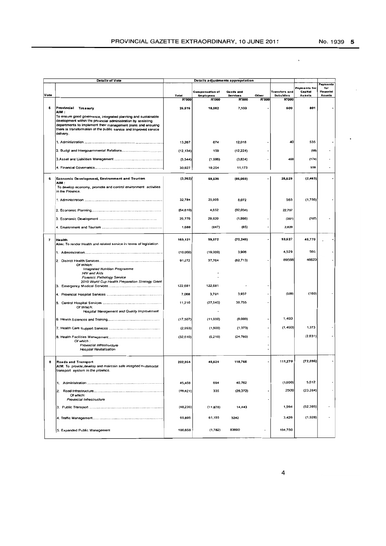.

 $\ddot{\phantom{0}}$ 

|                | Details of Vote<br>Details adjustments appropriation                                                                                                                                                                                                                               |                       |                        |                          |                |                                  |                         |                                     |
|----------------|------------------------------------------------------------------------------------------------------------------------------------------------------------------------------------------------------------------------------------------------------------------------------------|-----------------------|------------------------|--------------------------|----------------|----------------------------------|-------------------------|-------------------------------------|
|                |                                                                                                                                                                                                                                                                                    |                       | Compensation of        | <b>Goods and</b>         |                | Transfors and                    | Payments for<br>Capital | Payments<br>for<br><b>Financial</b> |
| Vote           |                                                                                                                                                                                                                                                                                    | Total<br><b>R'000</b> | <b>Employees</b>       | Services<br><b>R'000</b> | Other<br>R'000 | <b>Subsidies</b><br><b>R'000</b> | <b>Assets</b>           | Assets                              |
| 6              | Provincial Treasury<br>AIM :                                                                                                                                                                                                                                                       | 26,516                | <b>R'000</b><br>18,082 | 7,133                    |                | 500                              | 801                     |                                     |
|                | To ensure good governance, integrated planning and sustainable<br>development within the provincial administration by assisting<br>departments to implement their management plans and ensuring<br>there is transformation of the public service and improved service<br>delivery. |                       |                        |                          |                |                                  |                         |                                     |
|                |                                                                                                                                                                                                                                                                                    | 13,267                | 674                    | 12,018                   |                | 40                               | 535                     |                                     |
|                |                                                                                                                                                                                                                                                                                    | (12, 134)             | 150                    | (12,224)                 |                |                                  | (60)                    |                                     |
|                |                                                                                                                                                                                                                                                                                    | (5,544)               | (1,996)                | (3,834)                  |                | 460                              | (174)                   |                                     |
|                |                                                                                                                                                                                                                                                                                    | 30,927                | 19,254                 | 11,173                   |                |                                  | 500                     |                                     |
| e              | Economic Development, Environment and Tourism<br>: AIM                                                                                                                                                                                                                             | (3,362)               | 59,530                 | (86,058)                 |                | 25,629                           | (2,463)                 |                                     |
|                | To develop economy, promote and control environment activities<br>in the Province.                                                                                                                                                                                                 |                       |                        |                          |                |                                  |                         |                                     |
|                |                                                                                                                                                                                                                                                                                    | 32,784                | 25,905                 | 8,072                    |                | 563                              | (1,756)                 |                                     |
|                |                                                                                                                                                                                                                                                                                    | (64, 610)             | 4,652                  | (92,059)                 |                | 22,797                           |                         |                                     |
|                |                                                                                                                                                                                                                                                                                    | 26,776                | 29,820                 | (1,966)                  | $\overline{a}$ | (351)                            | (707)                   |                                     |
|                |                                                                                                                                                                                                                                                                                    | 1,688                 | (B47)                  | (85)                     |                | 2,620                            |                         |                                     |
| $\overline{ }$ | Health<br>Aim: To render Health and related service in terms of legislation                                                                                                                                                                                                        | 169,121               | 99,972                 | (70,248)                 |                | 93,627                           | 45,770                  |                                     |
|                |                                                                                                                                                                                                                                                                                    | (10,000)              | (19,000)               | 3,906                    |                | 4,529                            | 565                     |                                     |
|                | Of Which:<br>Integrated Nutrition Programme                                                                                                                                                                                                                                        | 91,272                | 37,764                 | (82, 713)                |                | 89598                            | 46623                   |                                     |
|                | HIV and Aids<br>Forensic Pathology Service<br>2010 World Cup Health Preparation Strategy Grant                                                                                                                                                                                     | 122,681               | 122,681                |                          |                |                                  |                         |                                     |
|                |                                                                                                                                                                                                                                                                                    | 7,068                 | 3,791                  | 3,937                    |                | (500)                            | (160)                   |                                     |
|                |                                                                                                                                                                                                                                                                                    | 11,210                | (27, 545)              | 38,755                   |                |                                  |                         |                                     |
|                | Of Which:<br>Hospital Management and Quality Improvement                                                                                                                                                                                                                           |                       |                        |                          |                |                                  |                         |                                     |
|                |                                                                                                                                                                                                                                                                                    | (17, 507)             | (11,000)               | (8,000)                  |                | 1,493                            |                         |                                     |
|                |                                                                                                                                                                                                                                                                                    | (2,993)               | (1,500)                | (1, 373)                 |                | (1, 493)                         | 1,373                   |                                     |
|                | Of which:                                                                                                                                                                                                                                                                          | (32.610)              | (5,219)                | (24, 760)                |                |                                  | (2.631)                 |                                     |
|                | Provincial Infrastructure<br><b>Hospital Revitalisation</b>                                                                                                                                                                                                                        |                       |                        |                          |                |                                  |                         |                                     |
| 8              | Roads and Transport<br>AIM: To provide develop and maintain safe integrted multimodal<br>transport system in the province.                                                                                                                                                         | 202,964               | 48,524                 | 115,765                  |                | 111,270                          | (72, 595)               |                                     |
|                |                                                                                                                                                                                                                                                                                    | 45,468                | 694                    | 40,762                   |                | (000, 1)                         | 5,012                   |                                     |
|                | 2.<br>Of which:<br>Provincial Infrastructure                                                                                                                                                                                                                                       | (46, 821)             | 335                    | (26, 372)                |                | 2500                             | (23.284)                |                                     |
|                |                                                                                                                                                                                                                                                                                    | (48, 236)             | (11, 878)              | 14,443                   |                | 1,594                            | (52, 395)               |                                     |
|                |                                                                                                                                                                                                                                                                                    | 65,895                | 61,155                 | 3242                     |                | 3,426                            | (1,928)                 |                                     |
|                | 5. Expanded Public Management                                                                                                                                                                                                                                                      | 186,658               | (1,782)                | 83690                    |                | 104,750                          |                         |                                     |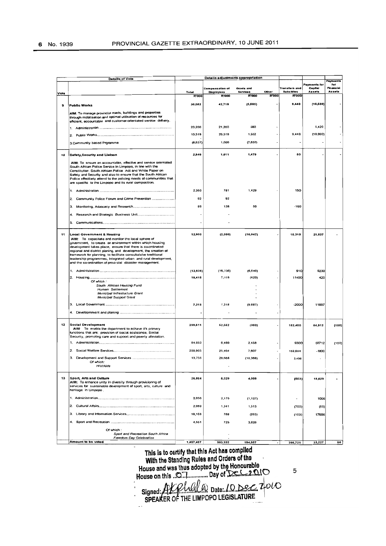|      | <b>Details of Vote</b>                                                                                                            |              | Details adjustments appropriation |                                 |                       |                           |              |                        |
|------|-----------------------------------------------------------------------------------------------------------------------------------|--------------|-----------------------------------|---------------------------------|-----------------------|---------------------------|--------------|------------------------|
|      |                                                                                                                                   |              |                                   |                                 |                       |                           | Payments for | Payments<br><b>tor</b> |
|      |                                                                                                                                   |              | Compensation of                   | Goods and                       |                       | Transfors and             | Capital      | Financial              |
| Vote |                                                                                                                                   | Total        | <b>Employees</b><br><b>R'000</b>  | <b>Services</b><br><b>R'000</b> | Other<br><b>R'000</b> | Subsidies<br><b>R'000</b> | Assets       | Assets                 |
|      |                                                                                                                                   | <b>R'000</b> |                                   |                                 |                       |                           |              |                        |
| 9    | <b>Public Works</b>                                                                                                               | 30,082       | 42,719                            | (5, 505)                        |                       | 8,448                     | (16, 580)    |                        |
|      |                                                                                                                                   |              |                                   |                                 |                       |                           |              |                        |
|      | AIM: To manage provincial roads, buildings and properties<br>through mobilisation and optimal utilisation of resources for        |              |                                   |                                 |                       |                           |              |                        |
|      | efficient, accountable and customer-orientated service delivery.                                                                  |              |                                   |                                 |                       |                           |              |                        |
|      |                                                                                                                                   | 23,200       | 21,200                            | 580                             |                       |                           | 1,420        |                        |
|      |                                                                                                                                   | 13,519       | 20,519                            | 1,552                           |                       | 9,448                     | (18,000)     |                        |
|      | 2.                                                                                                                                |              |                                   |                                 |                       |                           |              |                        |
|      | 3. Community based Prgramme                                                                                                       | (6,637)      | 1,000                             | (7, 837)                        |                       |                           |              |                        |
|      |                                                                                                                                   |              |                                   |                                 |                       |                           |              |                        |
| 10   | Safety, Security and Liaison                                                                                                      | 2,540        | 1,011                             | 1,479                           |                       | 60                        |              |                        |
|      |                                                                                                                                   |              |                                   |                                 |                       |                           |              |                        |
|      | AIM: To ensure an accountable, effective and service orientated<br>South African Police Service in Limpopo, in fine with the      |              |                                   |                                 |                       |                           |              |                        |
|      | Constitution, South African Police Act and White Paper on                                                                         |              |                                   |                                 |                       |                           |              |                        |
|      | Safety and Security and also to ensure that the South African                                                                     |              |                                   |                                 |                       |                           |              |                        |
|      | Police effectively attend to the policing needs of communities that<br>are specific to the Limpopo and its rural composition.     |              |                                   |                                 |                       |                           |              |                        |
|      |                                                                                                                                   |              |                                   |                                 |                       |                           |              |                        |
|      | 1.                                                                                                                                | 2,360        | 781                               | 1,429                           |                       | 150                       |              |                        |
|      | Community Police Forum and Crime Prevention<br>2.                                                                                 | 92           | 92                                |                                 |                       |                           |              |                        |
|      |                                                                                                                                   |              |                                   |                                 |                       |                           |              |                        |
|      | 3.                                                                                                                                | 88           | 138                               | 50                              |                       | $-100$                    |              |                        |
|      | Research and Strategic Business Unit<br>4.                                                                                        |              |                                   |                                 |                       |                           |              |                        |
|      |                                                                                                                                   |              |                                   |                                 |                       |                           |              |                        |
|      | 5.                                                                                                                                |              |                                   |                                 |                       |                           |              |                        |
|      |                                                                                                                                   |              |                                   |                                 |                       |                           |              |                        |
| 11   | <b>Local Government &amp; Housing</b>                                                                                             | 12,900       | (2,000)                           | (16, 947)                       |                       | 10,310                    | 21,537       |                        |
|      | AIM: To capacitate and monitor the local sphere of<br>government, to create an environment within which housing                   |              |                                   |                                 |                       |                           |              |                        |
|      | development takes place, ensure that there is co-ordinated                                                                        |              |                                   |                                 |                       |                           |              |                        |
|      | regional and district planing, and development, the creation of                                                                   |              |                                   |                                 |                       |                           |              |                        |
|      | framework for planning, to facilitate consultateive traditional<br>leadership programmes, integrated urban and rural development, |              |                                   |                                 |                       |                           |              |                        |
|      | and the co-ordination of provincial disaster management.                                                                          |              |                                   |                                 |                       |                           |              |                        |
|      |                                                                                                                                   |              |                                   |                                 |                       |                           |              |                        |
|      |                                                                                                                                   | (12, 836)    | (16, 336)                         | (6, 640)                        |                       | 910                       | 9230         |                        |
|      |                                                                                                                                   | 15,418       | 7,018                             | (420)                           |                       | 11400                     | 420          |                        |
|      | Of which:<br>South African Housing Fund                                                                                           |              |                                   |                                 |                       |                           |              |                        |
|      | Human Settlement                                                                                                                  |              |                                   |                                 |                       |                           |              |                        |
|      | Municipal infrastucture Grant                                                                                                     |              |                                   |                                 |                       |                           |              |                        |
|      | Municipal Support Grant                                                                                                           |              |                                   |                                 |                       |                           |              |                        |
|      | З.                                                                                                                                | 7,318        | 7,318                             | (9.887)                         |                       | $-2000$                   | 11887        |                        |
|      |                                                                                                                                   |              |                                   |                                 |                       |                           |              |                        |
|      |                                                                                                                                   |              |                                   |                                 |                       |                           |              |                        |
|      |                                                                                                                                   |              |                                   |                                 |                       |                           |              |                        |
| 12   | Social Development<br>AIM: To enable the department to achieve it's primary                                                       | 299,511      | 62,662                            | (303)                           |                       | 182,450                   | 64,912       | (100)                  |
|      | functions that are: provision of social assistance, Social                                                                        |              |                                   |                                 |                       |                           |              |                        |
|      | Security, promoting care and support and poverty alleviation.                                                                     |              |                                   |                                 |                       |                           |              |                        |
|      |                                                                                                                                   | 84,850       | 6,480                             | 2,458                           |                       | 9300                      | 66712        | (100)                  |
|      | 2.                                                                                                                                | 200,905      | 25,404                            | 7,607                           |                       | 169,694                   | $-1800$      |                        |
|      |                                                                                                                                   |              |                                   |                                 |                       |                           |              |                        |
|      | 3.<br>Of which:                                                                                                                   | 13,756       | 20,668                            | (10, 368)                       |                       | 3.456                     |              |                        |
|      | <b>HIV/Aids</b>                                                                                                                   |              |                                   |                                 |                       |                           |              |                        |
|      |                                                                                                                                   |              |                                   |                                 |                       |                           |              |                        |
| 13   | Sport, Arts and Culture                                                                                                           | 26,864       | 6,029                             | 4,009                           |                       | (803)                     | 18,629       |                        |
|      | AIM: To enhance unity in diversity through provisioning of                                                                        |              |                                   |                                 |                       |                           |              |                        |
|      | services for sustainable development of sport, arts, culture and                                                                  |              |                                   |                                 |                       |                           |              |                        |
|      | hentage in Limpopo.                                                                                                               |              |                                   |                                 |                       |                           |              |                        |
|      |                                                                                                                                   | 2,056        | 2,175                             | (1, 127)                        |                       | $\hat{\phantom{a}}$       | 1008         |                        |
|      |                                                                                                                                   | 2,089        |                                   |                                 |                       |                           |              |                        |
|      |                                                                                                                                   |              | 1,341                             | 1,513                           |                       | (700)                     | (65)         |                        |
|      |                                                                                                                                   | 18,168       | 788                               | (203)                           |                       | (103)                     | 17686        |                        |
|      |                                                                                                                                   | 4,551        | 725                               | 3,826                           |                       |                           |              |                        |
|      |                                                                                                                                   |              |                                   |                                 |                       |                           |              |                        |
|      | Of which:<br>Sport and Recreation South Africa                                                                                    |              |                                   |                                 |                       |                           |              |                        |
|      | Freedom Day Celebration                                                                                                           |              |                                   |                                 |                       |                           |              |                        |
|      | Amount to be voted                                                                                                                | 1,407,487    | 803 932                           | 184.557                         |                       | 395 721                   | 23227        |                        |

This is to certify that this Act has compiled<br>With the Standing Rules and Orders of the

House and was thus adopted by the Honourable<br>House and was thus adopted by the Honourable

 $\mathbf 5$ 

Signed: Alcolard Date: 10 Dec 2010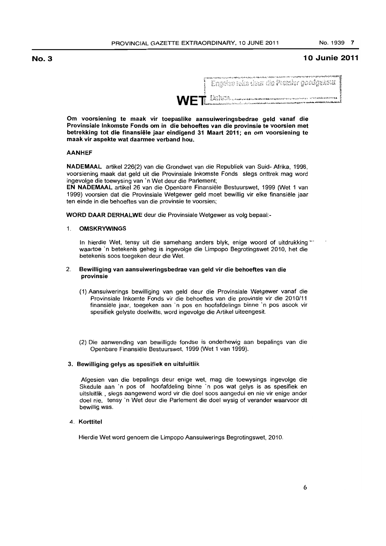~

# No.3

# 10 Junie 2011

|  |  |  | <b>このことからいいのはするのですいいというかい</b>              |
|--|--|--|--------------------------------------------|
|  |  |  | – Engelse toks dour die Promier goedgekeur |

"

Om voorsiening te maak vir toepaslike aansuiweringsbedrae geld vanaf die Provinsiale Inkomste Fonds om in die behoeftes van die provinsie te voorsien met betrekking tot die finansiele jaar eindigend 31 Maart 2011; en om voorsiening te maak vir aspekte wat daarmee verband hou.

# AANHEF

NADEMAAL artikel 226(2) van die Grondwet van die Republiek van Suid- Afrika, 1996, voorsiening maak dat geld uit die Provinsiale Inkomste Fonds slegs onttrek mag word ingevolge die toewysing van' n Wet deur die Parlement;

EN NADEMAAL artikel 26 van die Openbare Finansiële Bestuurswet, 1999 (Wet 1 van 1999) voorsien dat die Provinsiale Wetgewer geld moet bewillig vir elke finansiele jaar ten einde in die behoeftes van die provinsie te voorsien;

WORD DAAR DERHALWE deur die Provinsiale Wetgewer as volg bepaal:-

#### 1. OMSKRYWINGS

In hierdie Wet, tensy uit die samehang anders blyk, enige woord of uitdrukking \*\*\* waartoe 'n betekenis geheg is ingevolge die Limpopo Begrotingswet 2010, het die betekenis soos toegeken deur die Wet.

### 2. 8ewilliging van aansuiweringsbedrae van geld vir die behoeftes van die provinsie

- (1) Aansuiwerings bewilliging van geld deur die Provinsiale Wetgewer vanaf die Provinsiale Inkomte Fonds vir die behoeftes van die provinsie vir die 2010/11 finansiële jaar, toegeken aan 'n pos en hoofafdelings binne 'n pos asook vir spesifiek gelyste doelwitte, word ingevolge die Artikel uiteengesit.
- (2) Die aanwending van bewilligde fondse is onderhewig aan bepalings van die Openbare Finansiele Bestuurswet, 1999 (Wet 1 van 1999).

#### 3. 8ewilliging gelys as spesifiek en uitsluitlik

Afgesien van die bepalings deur enige wet, mag die toewysings ingevolge die Skedule aan 'n pos of hoofafdeling binne 'n pos wat gelys is as spesifiek en uitsluitlik , slegs aangewend word vir die doel soos aangedui en nie vir enige ander doel nie, tensy 'n Wet deur die Parlement die doel wysig of verander waarvoor dit bewillig was.

# 4. Korttitel

Hierdie Wet word genoem die Limpopo Aansuiwerings Begrotingswet, 2010.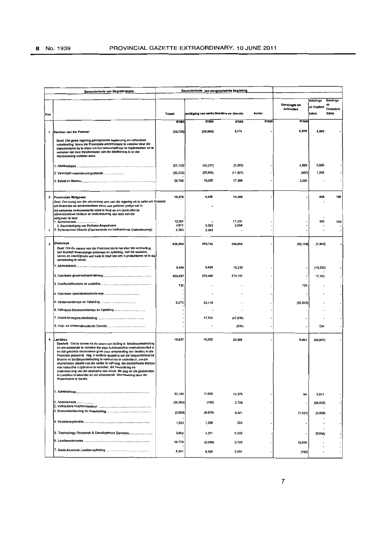|     | Besonderhede van Begrotingspos                                                                                                                                                                                                                                                                                                                                                                                                                                                                                                                                                                                                                                                                   |                 | Besonderhede van aangesuiwerde begroting |                |       |                           |                  |                  |
|-----|--------------------------------------------------------------------------------------------------------------------------------------------------------------------------------------------------------------------------------------------------------------------------------------------------------------------------------------------------------------------------------------------------------------------------------------------------------------------------------------------------------------------------------------------------------------------------------------------------------------------------------------------------------------------------------------------------|-----------------|------------------------------------------|----------------|-------|---------------------------|------------------|------------------|
|     |                                                                                                                                                                                                                                                                                                                                                                                                                                                                                                                                                                                                                                                                                                  |                 |                                          |                |       |                           | <b>Betalings</b> | <b>Betalings</b> |
|     |                                                                                                                                                                                                                                                                                                                                                                                                                                                                                                                                                                                                                                                                                                  |                 |                                          |                |       | Oordragte en<br>subsidies | vir Kapitaal     | Finanslele       |
| Pos |                                                                                                                                                                                                                                                                                                                                                                                                                                                                                                                                                                                                                                                                                                  | Totaal          | soldiging van werke Goedere en dienste   |                | Ander |                           | bates            | <b>Bates</b>     |
|     |                                                                                                                                                                                                                                                                                                                                                                                                                                                                                                                                                                                                                                                                                                  | R'000           | R'000                                    | <b>R'000</b>   | R'000 | <b>R'000</b>              |                  |                  |
| 1   | Kantoor van die Premier                                                                                                                                                                                                                                                                                                                                                                                                                                                                                                                                                                                                                                                                          | (23, 720)       | (38, 983)                                | 2,174          |       | 6,289                     | 6,800            |                  |
|     | Doel: Om goaie regering, geintegreerde beplanning en volhoubare                                                                                                                                                                                                                                                                                                                                                                                                                                                                                                                                                                                                                                  |                 |                                          |                |       |                           |                  |                  |
|     | ontwikkeling binne die Provinsiale-administrasie te verseker deur die<br>departemente by te staan om hul bestuursplanne te implementeer en te<br>verseker dat daar transformasie van die staatsdiens is en dat<br>dienslewering verbeter word.                                                                                                                                                                                                                                                                                                                                                                                                                                                   |                 |                                          |                |       |                           |                  |                  |
|     |                                                                                                                                                                                                                                                                                                                                                                                                                                                                                                                                                                                                                                                                                                  | (21, 153)       | (28, 377)                                | (3,265)        |       | 4,889                     | 5,600            |                  |
|     | 2. Verenigde ondersteuningsdienste                                                                                                                                                                                                                                                                                                                                                                                                                                                                                                                                                                                                                                                               | (32, 333)       | (20, 806)                                | (11, 927)      |       | (800)                     | 1,200            |                  |
|     |                                                                                                                                                                                                                                                                                                                                                                                                                                                                                                                                                                                                                                                                                                  | 29,766          | 10,200                                   | 17,366         |       | 2,200                     |                  |                  |
| 2   | <b>Provinsiale Wetgewer</b>                                                                                                                                                                                                                                                                                                                                                                                                                                                                                                                                                                                                                                                                      | 19,376          | 4,436                                    | 14,189         |       |                           | 600              | 160              |
|     | Doel: Om oorsig oor die uitvoerende arm van die regering uit te oefen,om finansiel<br>om finansiele en adminstartiewe steun aan politieke partye wat in<br>die wetgewer verteenwoordig word te bied en om doeltreffende<br>administratiewe bestuur en ondersteuning ean lede van die                                                                                                                                                                                                                                                                                                                                                                                                             |                 |                                          |                |       |                           |                  |                  |
|     | wetgewer te bied<br>1. Administrasie                                                                                                                                                                                                                                                                                                                                                                                                                                                                                                                                                                                                                                                             | 12,081          |                                          | 11,331         |       |                           | 600              | 150              |
| I.  | 2. Besoldoldiging van Politieke Ampsdraers<br>3. Partementere Dienste (Operasionele en Institusionele Ondersteuning)                                                                                                                                                                                                                                                                                                                                                                                                                                                                                                                                                                             | 4,911<br>2,383  | 2,053<br>2,383                           | 2,858          |       |                           |                  |                  |
|     |                                                                                                                                                                                                                                                                                                                                                                                                                                                                                                                                                                                                                                                                                                  |                 |                                          |                |       |                           |                  |                  |
| з   | Onderwys                                                                                                                                                                                                                                                                                                                                                                                                                                                                                                                                                                                                                                                                                         | 626,069         | 494,758                                  | 184,964        |       | (52, 110)                 | (1, 543)         |                  |
|     | Doel: Om die mense van die Provinsie toe te rus deur die verskaffing<br>van kwaliteit lewenslange onderwys en opleiding, met die waardes,<br>kennis en vaardighede wat hulle in staat stei om 'n produktiewe rol in die<br>samelewing te vervul.                                                                                                                                                                                                                                                                                                                                                                                                                                                 |                 |                                          |                |       |                           |                  |                  |
|     |                                                                                                                                                                                                                                                                                                                                                                                                                                                                                                                                                                                                                                                                                                  | 9,404           | 9,404                                    | 19,232         |       |                           | (19, 232)        |                  |
|     |                                                                                                                                                                                                                                                                                                                                                                                                                                                                                                                                                                                                                                                                                                  | 609,657         | 378,400                                  | 214,102        |       |                           | 17,155           |                  |
|     |                                                                                                                                                                                                                                                                                                                                                                                                                                                                                                                                                                                                                                                                                                  | 735             |                                          |                |       | 735                       |                  |                  |
|     |                                                                                                                                                                                                                                                                                                                                                                                                                                                                                                                                                                                                                                                                                                  |                 |                                          |                |       |                           |                  |                  |
|     |                                                                                                                                                                                                                                                                                                                                                                                                                                                                                                                                                                                                                                                                                                  | 6,273           | 59,118                                   |                |       | (52, 845)                 |                  |                  |
|     |                                                                                                                                                                                                                                                                                                                                                                                                                                                                                                                                                                                                                                                                                                  |                 |                                          |                |       |                           |                  |                  |
|     |                                                                                                                                                                                                                                                                                                                                                                                                                                                                                                                                                                                                                                                                                                  |                 | 47,836                                   | (47, 836)      |       |                           |                  |                  |
|     |                                                                                                                                                                                                                                                                                                                                                                                                                                                                                                                                                                                                                                                                                                  |                 |                                          | (534)          |       |                           | 534              |                  |
| 4   | Landbou<br>Doelwit: Om te strewe na die neem van leiding in landbouontwikkeling<br>en om sodoende te verseker dat daar huishoudelike voedselsekuriteit is<br>en dat gesonde ekonomiese groei deur ontwikkeling van landbou in die<br>Provinsie plaasvind. Nog 'n verdere doelwit is om die toeganklikheid tot<br>bronne vir landbouontwikkeling te verskaf en te ondersteun, om die<br>ekonomiese uitsette van die sektor te verhoog, die doeltreffende bestuur<br>van natuurlike hulpbronne te verseker, die bevordering en<br>ondersteuning van die deelname van vroue, die jeug en die gestremdes<br>in Landbou te bevorder en om uitnemende dienslewering deur die<br>departmente te bereik. | 18,627          | 18,302                                   | 33,906         |       | 9,061                     | (42, 641)        |                  |
|     |                                                                                                                                                                                                                                                                                                                                                                                                                                                                                                                                                                                                                                                                                                  | 33,143          | 17,059                                   | 13,379         |       | 94                        | 2,611            |                  |
|     | 1. Administrasie                                                                                                                                                                                                                                                                                                                                                                                                                                                                                                                                                                                                                                                                                 | (36, 354)       | (150)                                    | 2,728          |       |                           | (38, 932)        |                  |
|     |                                                                                                                                                                                                                                                                                                                                                                                                                                                                                                                                                                                                                                                                                                  | (3,689)         | (6,079)                                  | 9,421          |       | (1,531)                   | (3,500)          |                  |
|     |                                                                                                                                                                                                                                                                                                                                                                                                                                                                                                                                                                                                                                                                                                  |                 |                                          |                |       |                           |                  |                  |
|     |                                                                                                                                                                                                                                                                                                                                                                                                                                                                                                                                                                                                                                                                                                  | 1,525           | 1,200                                    | 325            |       |                           |                  |                  |
|     | 5. Technology Research & Development Services                                                                                                                                                                                                                                                                                                                                                                                                                                                                                                                                                                                                                                                    | 3,883<br>10,778 | 4,371<br>(2,599)                         | 2,332<br>2,729 |       | 10,648                    | (2, 820)         |                  |
|     |                                                                                                                                                                                                                                                                                                                                                                                                                                                                                                                                                                                                                                                                                                  |                 |                                          |                |       |                           |                  |                  |
|     |                                                                                                                                                                                                                                                                                                                                                                                                                                                                                                                                                                                                                                                                                                  | 9,341           | 6,500                                    | 2,991          |       | (150)                     |                  |                  |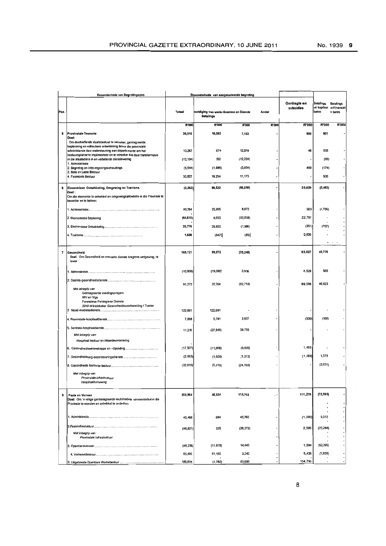|     | <b>Besonderhede van Begrotingspos</b>                                                                                                                   |           | Besonderhede van aangesuiwerde begroting                   |           |       |                           |                                    |                                               |
|-----|---------------------------------------------------------------------------------------------------------------------------------------------------------|-----------|------------------------------------------------------------|-----------|-------|---------------------------|------------------------------------|-----------------------------------------------|
| Pos |                                                                                                                                                         | Totast    | soldiging van werke Goedere en Dienste<br><b>Betalings</b> |           | Ander | Oordragte en<br>subsidies | Betalings<br>vir kapitaal<br>bates | <b>Betalings</b><br>virFinansiel<br>e bates   |
|     |                                                                                                                                                         |           |                                                            |           |       |                           |                                    |                                               |
|     |                                                                                                                                                         | R'000     | R'000                                                      | R'000     | R'000 | R'000                     | R'000                              | R'000                                         |
| 5   | Provinsiale Tesourie<br>Doel:                                                                                                                           | 26,516    | 18,082                                                     | 7,133     |       | 500                       | 801                                |                                               |
|     | Om doeltreflende staatsbestuur te verseker, geintegreerde.                                                                                              |           |                                                            |           |       |                           |                                    |                                               |
|     | beplanning en volhoubare ontwikkleing binne die provinsiale<br>administarsie deur ondersteuning aan departemente om hul                                 | 13,267    | 674                                                        | 12,018    |       | 40                        | 535                                |                                               |
|     | bestuursplanne te implimenteer en te verseker dat daar transformasie<br>in die staatsdiens in en verbeterde dienslewering                               | (12, 134) | 150                                                        | (12, 224) |       |                           | (60)                               |                                               |
|     | 1. Administrasie<br>2. Begroting en Inter-regeringsvehoudings                                                                                           | (5, 544)  | (1,996)                                                    | (3,834)   |       | 460                       | (174)                              |                                               |
|     | 3. Bate en Laste Bestuur                                                                                                                                |           |                                                            |           |       |                           |                                    |                                               |
|     | 4. Finansiele Bestuur                                                                                                                                   | 30,927    | 19,254                                                     | 11,173    |       |                           | 500                                |                                               |
| 6   | Ekonomiese Ontwikkeling, Omgewing en Toerisme.                                                                                                          | (3, 362)  | 59,530                                                     | (86, 058) |       | 25,629                    | (2,463)                            |                                               |
|     | Doel :<br>Om die ekonomie te ontwikkel en omgewingsaktiwiteite in die Provinsie te<br>bevorder en te beheer.                                            |           |                                                            |           |       |                           |                                    |                                               |
|     |                                                                                                                                                         | 32,784    | 25,905                                                     | 8,072     |       | 563                       | (1,756)                            |                                               |
|     | 2. Ekonomiese Beplaning                                                                                                                                 | (64, 610) | 4,652                                                      | (92,059)  |       | 22,797                    |                                    |                                               |
|     |                                                                                                                                                         | 26,776    | 29,820                                                     | (1, 986)  |       | (351)                     | (707)                              |                                               |
|     |                                                                                                                                                         | 1,688     | (847)                                                      | (65)      |       | 2,620                     |                                    |                                               |
|     |                                                                                                                                                         |           |                                                            |           |       |                           |                                    | $\cdots$                                      |
| 7   | Gesondheid<br>Doel. Om Gesondheid en verwante dienste kragtens wetgewing, te<br>lewer                                                                   | 169,121   | 99,972                                                     | (70, 248) |       | 93,627                    | 45,770                             |                                               |
|     |                                                                                                                                                         | (10,000)  | (19,000)                                                   | 3,906     |       | 4,529                     | 565                                |                                               |
|     |                                                                                                                                                         | 91,272    | 37,764                                                     | (82, 713) |       | 89,598                    | 46,623                             |                                               |
|     | Met inbegrip van<br>Geintegreerde voedingsprogam<br>MIV en Vigs<br>Forensiese Patologiese Dienste<br>2010 Wereldbeker Gesondheidsvoorbereiding / Toelae | 122,681   | 122,681                                                    |           |       |                           |                                    |                                               |
|     |                                                                                                                                                         | 7,068     | 3,791                                                      | 3,937     |       | (500)                     | (160)                              |                                               |
|     |                                                                                                                                                         |           |                                                            |           |       |                           |                                    |                                               |
|     | Met inbegrip van:                                                                                                                                       | 11,210    | (27, 545)                                                  | 38,755    |       |                           |                                    |                                               |
|     | Hospitaal bestuur en Waardeverbetering                                                                                                                  |           |                                                            |           |       |                           |                                    |                                               |
|     |                                                                                                                                                         | (17, 507) | (11,000)                                                   | (6,000)   |       | 1,493                     |                                    |                                               |
|     |                                                                                                                                                         | (2,993)   | (1,500)                                                    | (1, 373)  |       | (1, 493)                  | 1,373                              |                                               |
|     |                                                                                                                                                         | (32, 610) | (5,219)                                                    | (24, 760) |       |                           | (2,631)                            |                                               |
|     | Met inbegrip van<br>Provinsiale-infrastruktuur<br>Hospitaalhernuwing                                                                                    |           |                                                            |           |       |                           |                                    |                                               |
| 8   | Paaie en Vervoer<br>Doel: Om 'n veilige geinteregreerde multimodale vervoerstelsel in die                                                               | 202,964   | 48,524                                                     | 115765    | . .   | 111,270                   | (72, 595)                          |                                               |
|     | Provinsie te voorsien en ontwikkel te onderhou.                                                                                                         |           |                                                            |           |       |                           |                                    |                                               |
|     |                                                                                                                                                         |           |                                                            |           |       |                           |                                    |                                               |
|     |                                                                                                                                                         | 45,466    | 694                                                        | 40,762    |       | (1,000)                   | 5,012                              |                                               |
|     |                                                                                                                                                         | (46, 821) | 335                                                        | (26, 372) |       | 2,500                     | (23, 284)                          |                                               |
|     | Met inbegrip van<br>Provinsiale Infrastruktuur                                                                                                          |           |                                                            |           |       |                           |                                    |                                               |
|     |                                                                                                                                                         | (48, 236) | (11, 878)                                                  | 14,443    |       | 1,594                     | (52, 395)                          |                                               |
|     |                                                                                                                                                         | 65,895    | 61,155                                                     | 3,242     |       | 3,426                     | (1,928)                            |                                               |
|     |                                                                                                                                                         | 186,658   | (1,782)                                                    | 83,690    |       | 104,750                   |                                    | $\hbox{\small \bf -}$<br>$\ddot{\phantom{a}}$ |
|     |                                                                                                                                                         |           |                                                            |           |       |                           |                                    |                                               |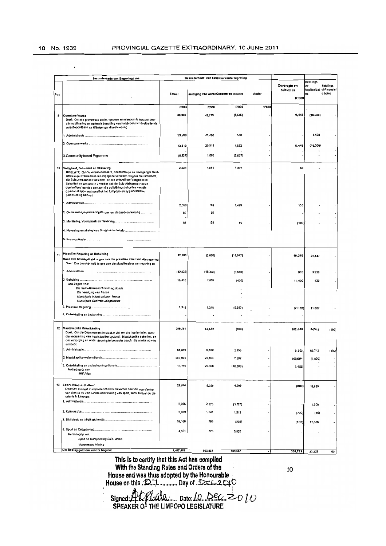|     | Besonderhede van Begrotingspos                                                                                                                                                                                                                                                                                                                                                                                                                                                     | Besonderhede van aangesuiwerde begroting |                                        |              |                     |                           |                                              |                                             |
|-----|------------------------------------------------------------------------------------------------------------------------------------------------------------------------------------------------------------------------------------------------------------------------------------------------------------------------------------------------------------------------------------------------------------------------------------------------------------------------------------|------------------------------------------|----------------------------------------|--------------|---------------------|---------------------------|----------------------------------------------|---------------------------------------------|
| Pos |                                                                                                                                                                                                                                                                                                                                                                                                                                                                                    | Totaal                                   | soldiging van werke Goedere en Dienste |              | Ander               | Oordragte en<br>subsidies | <b>Betalings</b><br>vir<br>kapitaalbat<br>es | <b>Betalings</b><br>virFinansiel<br>e bates |
|     |                                                                                                                                                                                                                                                                                                                                                                                                                                                                                    |                                          |                                        |              |                     | R'000                     |                                              |                                             |
|     |                                                                                                                                                                                                                                                                                                                                                                                                                                                                                    | R'000                                    | R'000                                  | <b>R'000</b> | <b>R'000</b>        |                           |                                              |                                             |
| э   | Openbare Werke<br>Doel: Om die provinsiale paaie, -geboue en eiendom te bestuur deur<br>die mobilisering en optimale benutting van hulpbronne vir doeltreffende,<br>verantwoordbare en klientgerigte dienslewering                                                                                                                                                                                                                                                                 | 30,082                                   | 42,719                                 | (6,606)      |                     | 9,448                     | (16, 580)                                    |                                             |
|     |                                                                                                                                                                                                                                                                                                                                                                                                                                                                                    | 23,200                                   | 21,200                                 | 580          |                     |                           | 1,420                                        |                                             |
|     |                                                                                                                                                                                                                                                                                                                                                                                                                                                                                    | 13,519                                   | 20,519                                 | 1,552        |                     | 9,448                     | (18,000)                                     |                                             |
|     | 3. Community based Prgramme                                                                                                                                                                                                                                                                                                                                                                                                                                                        | (6, 637)                                 | 1,000                                  | (7,637)      |                     |                           |                                              |                                             |
| 10  | Veiligheid, Sekuriteit en Skakeling<br>DOELWIT: Om 'n verantwoordbare, doeltreffende en diensgerigte Suid-<br>Afrikaanse Polisiediens in Limpopo te verseker, volgens die Grondwet,<br>die Suid-Afrikaanse Polisiewet en die Witskrif oor Veiligheid en<br>Sekuriteit en om ook te verseker dat die Suid-Afrikaanse Polisie<br>doeltreffend aandag gee aan die polisieringsbehoeftes van die<br>gemeenskappe wat spesifiek tot Limpopo en sy plattelandse<br>samestelling behoort. | 2,640                                    | 1,011                                  | 1,479        |                     | 60                        |                                              |                                             |
|     |                                                                                                                                                                                                                                                                                                                                                                                                                                                                                    | 2,360                                    | 781                                    | 1,429        |                     | 150                       |                                              |                                             |
|     | 2. Gemeenskaps-polisieringsforum en Misdaadvoorkoming                                                                                                                                                                                                                                                                                                                                                                                                                              | 92                                       | 92                                     |              |                     |                           |                                              |                                             |
|     |                                                                                                                                                                                                                                                                                                                                                                                                                                                                                    | 68                                       | 138                                    | 50           |                     | (100)                     |                                              |                                             |
|     |                                                                                                                                                                                                                                                                                                                                                                                                                                                                                    |                                          |                                        |              |                     |                           |                                              |                                             |
|     |                                                                                                                                                                                                                                                                                                                                                                                                                                                                                    |                                          |                                        |              |                     |                           |                                              |                                             |
|     |                                                                                                                                                                                                                                                                                                                                                                                                                                                                                    |                                          |                                        |              |                     |                           |                                              |                                             |
| 11  | Plaaslike Regoring en Behuising<br>Doel: Om bevoegdheid te gee aan die plaaslike sfeer van die regering<br>Doel: Om bevoegdheid te gee aan die plaaslikesfeer van regering en                                                                                                                                                                                                                                                                                                      | 12,900                                   | (2,000)                                | (16, 947)    |                     | 10,310                    | 21,537                                       |                                             |
|     |                                                                                                                                                                                                                                                                                                                                                                                                                                                                                    | (12, 836)                                | (16, 336)                              | (6, 640)     |                     | 910                       | 9,230                                        |                                             |
|     |                                                                                                                                                                                                                                                                                                                                                                                                                                                                                    | 18,418                                   | 7,018                                  | (420)        |                     | 11,400                    | 420                                          |                                             |
|     | Mel ibegrip van:<br>Die Suid-Afrikaansebehulsingsfonds<br>Die Vestiging van Mense<br>Munisipale Infrastruktuuur Toelee<br>Munisipale Ondersteuningstoelee                                                                                                                                                                                                                                                                                                                          |                                          |                                        |              |                     |                           |                                              |                                             |
|     |                                                                                                                                                                                                                                                                                                                                                                                                                                                                                    | 7,318                                    | 7,318                                  | (9, 887)     |                     | (2,000)                   | 11,887                                       |                                             |
|     |                                                                                                                                                                                                                                                                                                                                                                                                                                                                                    |                                          |                                        |              |                     |                           |                                              |                                             |
|     | 12 Maatskaplike Ontwikkeling<br>Doel. Om die Departement in staat te stel om die hooffunksies soos:<br>die voorsiening van maatskaplike bystand, Maatskaplike sekuriteit, en<br>om versorging en ondersteuning te bevorder asook die ultwissing van<br>armoede                                                                                                                                                                                                                     | 299,511                                  | 52,562                                 | (303)        |                     | 182,450                   | 64,912                                       | (100)                                       |
|     |                                                                                                                                                                                                                                                                                                                                                                                                                                                                                    | 84,850                                   | 6,480                                  | 2,458        |                     | 9,300                     | 66,712                                       | (100)                                       |
|     |                                                                                                                                                                                                                                                                                                                                                                                                                                                                                    | 200,905                                  | 25,404                                 | 7,607        |                     | 169,694                   | (1, 800)                                     |                                             |
|     | Mel inbagrip van:<br>MIV Nigs                                                                                                                                                                                                                                                                                                                                                                                                                                                      | 13,756                                   | 20,668                                 | (10, 368)    |                     | 3,456                     |                                              |                                             |
| 13  | Sport, Kuns en Kultuur<br>Doel:Om eenheid in verskillendheid te bevorder deur die voorsiening<br>van dienste vir volhoubare ontwikkeling van sport, kuns, kultuur en die<br>orienis in Limpopo                                                                                                                                                                                                                                                                                     | 26,864                                   | 6,029                                  | 4,009        |                     | (803)                     | 18,629                                       |                                             |
|     |                                                                                                                                                                                                                                                                                                                                                                                                                                                                                    | 2,056                                    | 2,175                                  | (1, 127)     |                     |                           | 1,008                                        |                                             |
|     |                                                                                                                                                                                                                                                                                                                                                                                                                                                                                    | 2,089                                    | 1,341                                  | 1,513        |                     | (700)                     | (65)                                         |                                             |
|     |                                                                                                                                                                                                                                                                                                                                                                                                                                                                                    | 18,168                                   | 788                                    | (203)        |                     | (103)                     | 17,686                                       |                                             |
|     | Met inbegrip van:<br>Sport en Ontspanning Suid- Afrika                                                                                                                                                                                                                                                                                                                                                                                                                             | 4,551                                    | 725                                    | 3,826        |                     |                           |                                              |                                             |
|     | Vryheidsdag Viering                                                                                                                                                                                                                                                                                                                                                                                                                                                                |                                          |                                        |              |                     |                           |                                              |                                             |
|     | Die Bedrag geld om voor te begroot                                                                                                                                                                                                                                                                                                                                                                                                                                                 | 1,407,487                                | 803,932                                | 184,657      | $\hat{\phantom{a}}$ | 395,721                   | 23,227                                       | 60                                          |

This is to certify that this Act has complied 

 $10\,$ 

Signed: H.C. Coluis 2..... Date: 10 Dec. 2010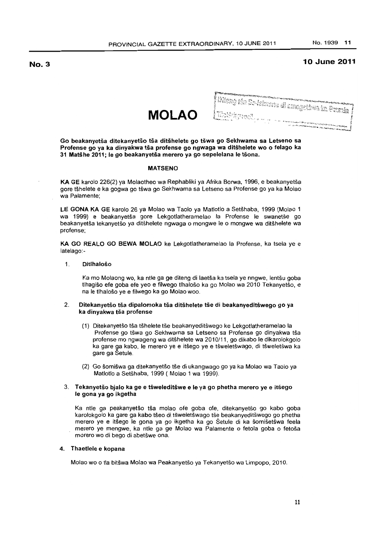# **10 June 2011**

**MOLAO** 

| <b>CONTRACTOR COMMONS</b>                                                                                                                                                                                                            |  |
|--------------------------------------------------------------------------------------------------------------------------------------------------------------------------------------------------------------------------------------|--|
| والمتنا المتعارض والمتعارض وتحاليا فتعارفها المتعارفة والمتعارفة<br><mark>:</mark> Dileng the So-Askmans di anngsthwe in Fremi <b>e</b> /                                                                                            |  |
|                                                                                                                                                                                                                                      |  |
|                                                                                                                                                                                                                                      |  |
|                                                                                                                                                                                                                                      |  |
| Italia                                                                                                                                                                                                                               |  |
|                                                                                                                                                                                                                                      |  |
|                                                                                                                                                                                                                                      |  |
|                                                                                                                                                                                                                                      |  |
| 计划 医心下 医内脏性神经 医动物血清 建制造 化碳酸盐医碳酸盐医碳酸盐医碳酸盐 医微分性乳糖酸性葡萄糖                                                                                                                                                                                 |  |
| <b>A Profit Construction Construction and the Construction Construction Construction Construction Construction Construction Construction Construction Construction Construction Construction Construction Construction Construct</b> |  |

Go beakanyetša ditekanyetšo tša ditšhelete go tšwa go Sekhwama sa Letseno sa Profense go ya ka dinyakwa tša profense go ngwaga wa ditšhelete wo o felago ka 31 MaiShe 2011; Ie go beakanyetsa merero ya go sepelelana Ie t50na.

# MATSENO

KA GE karolo 226(2) ya Molaotheo wa Rephabliki ya Afrika Borwa, 1996, e beakanyetsa gore tshelete e ka gogwa go tswa go Sekhwama sa Letseno sa Profense go ya ka Molao wa Palamente;

LE GONA KA GE karolo 26 ya Molao wa Taolo ya Matlotlo a Setshaba, 1999 (Molao 1 wa 1999) e beakanyetsa gore Lekgotlatheramelao la Profense Ie swanetse go beakanyetša tekanyetšo ya ditšhelete ngwaga o mongwe le o mongwe wa ditšhelete wa protense;

KA GO REALO GO BEWA MOlAO ke Lekgotlatheramelao la Protense, ka tsela ye e latelago:-

# 1. Ditlhaloso

Ka mo Molaong wo, ka ntle ga ge diteng di laetša ka tsela ye nngwe, lentšu goba tlhagiso efe goba efe yeo e filwego tlhaloso ka go Molao wa 2010 Tekanyetso, e na Ie tlhaloso ye e filwego ka go Molao woo.

# 2. Ditekanyetšo tša dipalomoka tša ditšhelete tše di beakanyeditšwego go ya ka dinyakwa tša profense

- (1) Ditekanyetso tsa tshelete tse beakanyeditswego ke Lekgotlatheramelao la Profense go tšwa go Sekhwama sa Letseno sa Profense go dinyakwa tša profense mo ngwageng wa ditshelete wa 2010/11, go dikabo Ie dikarolokgolo ka gare ga kabo, le merero ye e itšego ye e tšweletšwago, di tšweletšwa ka gare ga Setule.
- (2) Go šomišwa ga ditekanyetšo tše di ukangwago go ya ka Molao wa Taolo ya Matlotlo a Setšhaba, 1999 ( Molao 1 wa 1999).

# 3. Tekanyetšo bjalo ka ge e tšweleditšwe e le ya go phetha merero ye e itšego Ie gona ya go ikgetha

Ka ntle ga peakanyetšo tša molao ofe goba ofe, ditekanyetšo go kabo goba karolokgolo ka gare ga kabo tšeo di tšweletšwago tše beakanyeditšwego go phetha merero ye e itsego Ie gona ya go ikgetha ka go Setule di ka somisetswa feela merero ye mengwe, ka ntle ga ge Molao wa Palamente o fetola goba o fetoša morero wo di bego di abetšwe ona.

# 4. Thaetlele e kopana

Molao wo 0 tla bitswa Molao wa Peakanyetso ya Tekanyetso wa Limpopo, 2010.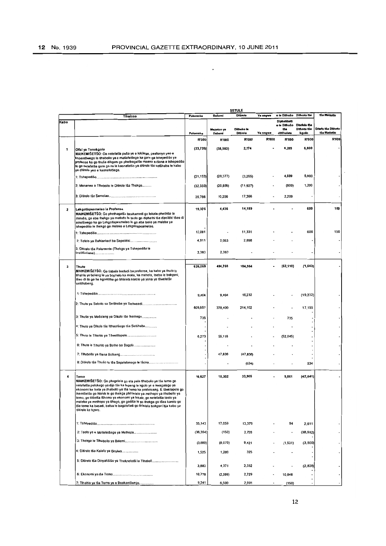$\ddot{\phantom{a}}$ 

|              |                                                                                                                                                                                                                                                                                                                                                                                                                                                                                                                                                           |           |                      | <b>SETULE</b>          |              | o le Dithušo                      | Dithoto tše                          | tša Matiotic                       |
|--------------|-----------------------------------------------------------------------------------------------------------------------------------------------------------------------------------------------------------------------------------------------------------------------------------------------------------------------------------------------------------------------------------------------------------------------------------------------------------------------------------------------------------------------------------------------------------|-----------|----------------------|------------------------|--------------|-----------------------------------|--------------------------------------|------------------------------------|
| Kabo         | Tihaloso                                                                                                                                                                                                                                                                                                                                                                                                                                                                                                                                                  | Palomoka  | Bašomi               | <b>Ditirelo</b>        | Ye nngwe     | <b>Diphotisets</b>                |                                      |                                    |
|              |                                                                                                                                                                                                                                                                                                                                                                                                                                                                                                                                                           | Palomoka  | Meputso ya<br>Basomi | Ditheko le<br>Ditirelo | Ye nngwe     | o le Dithušo<br>tša<br>ditShelete | Ditefelo tsa<br>Dithoto tše<br>kgolo | Ditafo tša Dithoto<br>tša Matiotic |
|              |                                                                                                                                                                                                                                                                                                                                                                                                                                                                                                                                                           | R'000     | <b>R'000</b>         | <b>R'000</b>           | <b>R'000</b> | R'000                             | <b>R'000</b>                         | R'000                              |
| 1            | Ofisi ya Tonakgolo<br>MAIKEMIŠETŠO: Go netefatša pušo ye e lokilego, peakanyo yeo e<br>kopantšwego le tihabollo ye e matlafetšego ka gare ga tshepedišo ya<br>profense ka go thuša dikgoro go phethagatša maano a tšona a tshepedišo<br>le go netefetsa gore go na le kaonafatso ya ditirelo tsa setshaba le kabo<br>ya ditirelo yeo e kaonafetsego.                                                                                                                                                                                                      | (23, 720) | (38, 983)            | 2,174                  |              | 6,289                             | 6,800                                |                                    |
|              |                                                                                                                                                                                                                                                                                                                                                                                                                                                                                                                                                           | (21, 153) | (28, 377)            | (3,265)                |              | 4,889                             | 5,600                                |                                    |
|              | 2: Mananeo a Tihabollo le Ditirelo tša Thekgo                                                                                                                                                                                                                                                                                                                                                                                                                                                                                                             | (32, 333) | (20, 806)            | (11, 927)              |              | (600)                             | 1,200                                |                                    |
|              |                                                                                                                                                                                                                                                                                                                                                                                                                                                                                                                                                           | 29,766    | 10,200               | 17,366                 |              | 2,200                             |                                      |                                    |
| $\mathbf{z}$ | Lekgotlapeamelao la Profense<br>MAIKEMISETSO: Go phethagatsa boukamedi go lekala-phethiso la<br>mmušo, go aba thekgo ya matlotto le taolo go diphathi tsa dipolitiki tseo di<br>emetšwego ka go Lekgotlapeamelao le go aba taolo ya maleba ya<br>tshepedišo le thekgo go maloko a Lekgotlapeamelao.                                                                                                                                                                                                                                                       | 19,375    | 4,436                | 14,189                 |              |                                   | 600                                  | 150                                |
|              |                                                                                                                                                                                                                                                                                                                                                                                                                                                                                                                                                           | 12,081    |                      | 11,331                 |              |                                   | 600                                  | 150                                |
|              |                                                                                                                                                                                                                                                                                                                                                                                                                                                                                                                                                           | 4,911     | 2,053                | 2,858                  |              |                                   |                                      |                                    |
|              | 3: Ditirelo tša Palamente (Thekgo ya Tshepedišo le<br>Institšušene)                                                                                                                                                                                                                                                                                                                                                                                                                                                                                       | 2,383     | 2,3B3                |                        |              |                                   |                                      |                                    |
| з            | Thuto<br>MAIKEMIŠETŠO: Go tlabela badudi ba profense, ka kabo ya thuto le<br>tihahio ya boleng le ya bophelo ka moka, ka mehola, tsebo le bokgoni,<br>tšeo di tla go ba kgontšha go fihlelela karolo ya yona ya tšweletšo<br>setšhabeng.                                                                                                                                                                                                                                                                                                                  | 626,069   | 494,758              | 184,964                |              | (62, 110)                         | (1, 543)                             |                                    |
|              |                                                                                                                                                                                                                                                                                                                                                                                                                                                                                                                                                           | 9,404     | 9,404                | 19,232                 |              |                                   | (19,232)                             |                                    |
|              |                                                                                                                                                                                                                                                                                                                                                                                                                                                                                                                                                           | 609,657   | 37B, 400             | 214,102                |              |                                   | 17,155                               |                                    |
|              | 3: Thušo ya Mašeleng ya Dikolo Iše Ikernego                                                                                                                                                                                                                                                                                                                                                                                                                                                                                                               | 735       |                      |                        |              | 735                               |                                      |                                    |
|              | 4: Thuto ya Dikolo tše Itlhaotšego tša Setšhaba                                                                                                                                                                                                                                                                                                                                                                                                                                                                                                           |           |                      |                        |              |                                   |                                      |                                    |
|              | 5: Thulo le Tihahio ya Tśwetsopele                                                                                                                                                                                                                                                                                                                                                                                                                                                                                                                        | 6,273     | 59,118               |                        |              | (52, 845)                         |                                      |                                    |
|              | 6: Thuto le Tihahlo ya Batho ba Bagolo                                                                                                                                                                                                                                                                                                                                                                                                                                                                                                                    |           |                      |                        |              |                                   |                                      |                                    |
|              | 7: Tihabollo ya Bana Bofseng                                                                                                                                                                                                                                                                                                                                                                                                                                                                                                                              |           | 47,836               | (47, 836)              |              |                                   |                                      |                                    |
|              | B: Ditireio tsa Thuso le tse Sepelelanago le tsona                                                                                                                                                                                                                                                                                                                                                                                                                                                                                                        |           |                      | (534)                  |              |                                   | 534                                  |                                    |
| 4            | Temo<br>MAIKEMIŠETŠO: Go phegelela go eta pele tihabollo ya tša terno go<br>nelefalša polokego ya dijo tša ka lapeng le kgolo ye e kwagalago ya<br>ekonomi ka tsela ya tihabollo ya tša temo ka profenseng. E tšwelapele go<br>ikemišetša go hlahla le go thekga phihlelelo ya methopo ya tihabollo ya<br>temo, go tiišetša tšhomo ya ekonomi ya lekala, go netefatša taolo ya<br>maleba ya methopo ya tihago, go godiša le go thekga go tšea karolo go<br>tša temo ka basadi, bafsa le bagolofadi go fihlelela bokgoni bja kabo ya<br>ditirelo ke kgoro. | 18,627    | 18,302               | 33,905                 |              | 9,061                             | (42, 641)                            |                                    |
|              |                                                                                                                                                                                                                                                                                                                                                                                                                                                                                                                                                           | 33,143    | 17,059               | 13,379                 |              | 94                                | 2,611                                |                                    |
|              | 2: Taolo ye e Matlafetsego ya Methopo                                                                                                                                                                                                                                                                                                                                                                                                                                                                                                                     | (36, 354) | (150)                | 2,728                  |              |                                   | (38, 932)                            |                                    |
|              |                                                                                                                                                                                                                                                                                                                                                                                                                                                                                                                                                           | (3, 689)  | (8,079)              | 9,421                  |              | (1, 531)                          | (3,500)                              |                                    |
|              | 4: Ditirelo tsa Kalafo ya Diruiwa                                                                                                                                                                                                                                                                                                                                                                                                                                                                                                                         | 1,525     | 1,200                | 325                    |              |                                   |                                      |                                    |
|              | 5: Ditirelo tša Dinyakišišo ya Theknolotši le Tihaboll                                                                                                                                                                                                                                                                                                                                                                                                                                                                                                    | 3,883     | 4,371                | 2,332                  |              |                                   | (2,820)                              |                                    |
|              |                                                                                                                                                                                                                                                                                                                                                                                                                                                                                                                                                           | 10,778    | (2.599)              | 2,729                  |              | 10,648                            |                                      |                                    |
|              | 7: Tihahlo ya tša Temo ye e Beakantšwego                                                                                                                                                                                                                                                                                                                                                                                                                                                                                                                  | 9,341     | 6,500                | 2,991                  | ٠            | (150)                             |                                      |                                    |

 $\overline{\phantom{a}}$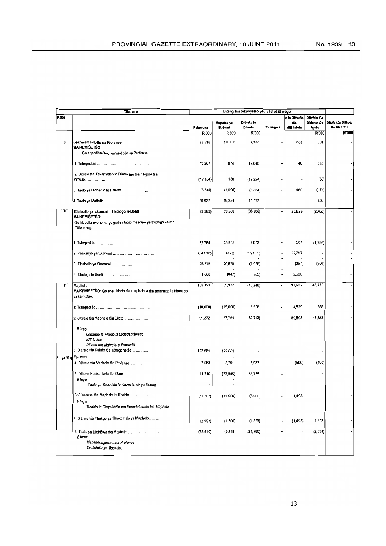|                   | Tihaloso                                                                                             |                   |                                      | Diteng tša tekanyetšo yeo e fetošitšwego |                          |                                   |                                               |                                             |
|-------------------|------------------------------------------------------------------------------------------------------|-------------------|--------------------------------------|------------------------------------------|--------------------------|-----------------------------------|-----------------------------------------------|---------------------------------------------|
| Kabo              |                                                                                                      | Palomoka<br>R'000 | Meputso ya<br>Bašomi<br><b>R'000</b> | Ditheko le<br>Ditirelo<br><b>R'000</b>   | Ye nngwe                 | o le Dithušo<br>tša<br>ditšhelete | Ditefelo tša<br>Dithoto tše<br>kgolo<br>R'000 | Ditefo tša Dithoto<br>tša Matiotio<br>R'000 |
|                   |                                                                                                      |                   |                                      |                                          |                          |                                   |                                               |                                             |
| 5                 | Sekhwama-tiotlo sa Profense<br><b>MAIKEMIŠETŠO:</b><br>Go sepediša Sekhwama-tlotto sa Profense       | 26,516            | 18,082                               | 7,133                                    |                          | 500                               | 801                                           |                                             |
|                   |                                                                                                      | 13,267            | 674                                  | 12,018                                   |                          | 40                                | 535                                           |                                             |
|                   | 2. Ditirelo tsa Tekanyetso le Dikamano tsa dikgoro tsa<br>Mmuso                                      | (12, 134)         | 150                                  | (12,224)                                 |                          |                                   | (60)                                          |                                             |
|                   | 3. Taolo ya Diphahlo le Dithoto                                                                      | (5, 544)          | (1,996)                              | (3, 834)                                 |                          | 460                               | (174)                                         |                                             |
|                   |                                                                                                      | 30,927            | 19,254                               | 11,173                                   |                          |                                   | 500                                           |                                             |
| 6                 | Tihabollo ya Ekonomi, Tikologo le Boeti<br><b>MAIKEMIŠETŠO:</b>                                      | (3, 362)          | 59,530                               | (86, 058)                                |                          | 25,629                            | (2, 463)                                      |                                             |
|                   | Go hlabolla ekonomi, go godiša taolo mešomo ya tikologo ka mo<br>Profenseng.                         |                   |                                      |                                          |                          |                                   |                                               |                                             |
|                   |                                                                                                      | 32,784            | 25,905                               | 8,072                                    |                          | 563                               | (1,756)                                       |                                             |
|                   |                                                                                                      | (64, 610)         | 4,652                                | (92, 059)                                |                          | 22,797                            |                                               |                                             |
|                   |                                                                                                      | 26,776            | 29,820                               | (1,966)                                  |                          | (351)                             | (707)                                         |                                             |
|                   |                                                                                                      | 1,688             | (847)                                | (85)                                     | $\overline{\phantom{a}}$ | 2,620                             |                                               |                                             |
| 7                 | Maphelo<br>MAIKEMIŠETŠO: Go aba ditirelo tša maphelo le tše amanago le tšona go<br>ya ka molao.      | 169,121           | 99,972                               | (70, 248)                                | ä,                       | 93,627                            | 45,770                                        |                                             |
|                   |                                                                                                      | (10,000)          | (19,000)                             | 3,906                                    |                          | 4,529                             | 565                                           |                                             |
|                   | 2: Ditirelo tša Maphelo tša Dilete                                                                   | 91,272            | 37,764                               | (82, 713)                                |                          | 89,598                            | 46,623                                        |                                             |
|                   | E lego:<br>Lenaneo la Phepo le Logagantšwego<br>HIV le Aids<br>Ditirelo tsa Malwetsi a Forensiki     |                   |                                      |                                          |                          |                                   |                                               |                                             |
|                   | 3: Ditirelo tša Kalafo tša Tšhoganetšo                                                               | 122,681           | 122,681                              |                                          |                          |                                   |                                               |                                             |
| so ya Man Mphiowa |                                                                                                      |                   |                                      |                                          |                          |                                   |                                               |                                             |
|                   | 4: Ditirelo tša Maokelo tša Profense                                                                 | 7,068             | 3,791                                | 3,937                                    |                          | (500)                             | (160)                                         |                                             |
|                   | 5: Ditirelo tša Maokelo tša Gare<br>E lego:<br>Taolo ya Sepetlele le Kaonafatso ya Boleng            | 11,210            | (27, 545)                            | 38,755                                   |                          |                                   |                                               |                                             |
|                   | 6: Disaense tša Maphelo le Tihahlo                                                                   | (17, 507)         | (11,000)                             | (8,000)                                  |                          | 1,493                             |                                               |                                             |
|                   | E lego:<br>Tihahlo le Dinyakišišo tša Seprofešenale tša Maphelo                                      |                   |                                      |                                          |                          |                                   |                                               |                                             |
|                   | 7: Ditirelo tsa Thekgo ya Tihokomelo ya Maphelo                                                      | (2,993)           | (1,500)                              | (1, 373)                                 |                          | (1, 493)                          | 1,373                                         |                                             |
|                   | 8: Taolo ya Didirišwa tša Maphelo<br>E lego.<br>Mananeokgoparara a Profense<br>Tsošološo ya Maokelo. | (32, 610)         | (5,219)                              | (24,760)                                 |                          |                                   | (2,631)                                       |                                             |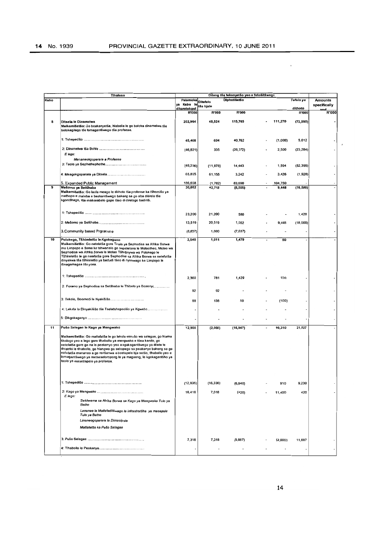|      | Tihaloso                                                                                                                                                                                                                                                                                                                                                                                                                                                                                                           | Diteng tša tekanyetšo yeo e fetošitšwego  |           |                     |  |         |                         |                                |
|------|--------------------------------------------------------------------------------------------------------------------------------------------------------------------------------------------------------------------------------------------------------------------------------------------------------------------------------------------------------------------------------------------------------------------------------------------------------------------------------------------------------------------|-------------------------------------------|-----------|---------------------|--|---------|-------------------------|--------------------------------|
| Kabo |                                                                                                                                                                                                                                                                                                                                                                                                                                                                                                                    | Palomoka Ditefelo<br>ya Kabo le tša bjale |           | <b>Diphetišetšo</b> |  |         | Tefelo ya               | <b>Amounts</b><br>specifically |
|      |                                                                                                                                                                                                                                                                                                                                                                                                                                                                                                                    | dikarolokgo!<br><b>R'000</b>              | R'000     | <b>R'000</b>        |  |         | dithoto<br><b>R'000</b> | and<br>R'000                   |
| 8    | Ditsela le Dinamelwa<br>Maikemišetšo: Go beakanyetša, hlabolia le go boloka dinamelwa tše<br>bolokegilego tše lomagantšwego tša profense.                                                                                                                                                                                                                                                                                                                                                                          | 202,964                                   | 48,524    | 115,765             |  | 111,270 | (72, 595)               |                                |
|      |                                                                                                                                                                                                                                                                                                                                                                                                                                                                                                                    | 45,468                                    | 694       | 40,762              |  | (1,000) | 5,012                   |                                |
|      | E lego:<br>Mananeokgoparara a Profense                                                                                                                                                                                                                                                                                                                                                                                                                                                                             | (46, 821)                                 | 335       | (26, 372)           |  | 2,500   | (23, 284)               |                                |
|      |                                                                                                                                                                                                                                                                                                                                                                                                                                                                                                                    | (48, 236)                                 | (11, 878) | 14,443              |  | 1,594   | (52, 395)               |                                |
|      |                                                                                                                                                                                                                                                                                                                                                                                                                                                                                                                    | 65,895                                    | 61.155    | 3,242               |  | 3,426   | (1,928)                 |                                |
|      | 5. Expanded Public Management                                                                                                                                                                                                                                                                                                                                                                                                                                                                                      | 186,658                                   | (1, 782)  | 83,690              |  | 104,750 |                         |                                |
| 9    | Mešomo ya Setšhaba<br>Maikemišetšo: Go laola meago le dithoto tša profense ka tšhomišo ya<br>methopo e maleba e beakantšwego bakeng sa go aba ditirelo tše<br>kgontšhago, tša maikarabelo gape tšeo di direlago badiriši.                                                                                                                                                                                                                                                                                          | 30,082                                    | 42,719    | (5,505)             |  | 9,448   | (16, 580)               |                                |
|      |                                                                                                                                                                                                                                                                                                                                                                                                                                                                                                                    | 23,200                                    | 21,200    | 580                 |  |         | 1,420                   |                                |
|      |                                                                                                                                                                                                                                                                                                                                                                                                                                                                                                                    | 13,519                                    | 20,519    | 1,552               |  | 9,448   | (18,000)                |                                |
|      | 3. Community based Prgramme                                                                                                                                                                                                                                                                                                                                                                                                                                                                                        | (6,637)                                   | 1,000     | (7,637)             |  |         |                         |                                |
| 10   | Polokego, Tšhireletšo le Kgokagano<br>Maikemišetšo: Go netefatša gore Tirelo ya Sephodisa sa Afrika 8orwa<br>mo Limpopo e šoma ka tshwanelo go sepelelana le Molaotheo, Molao wa<br>Sephodisa wa Afrika Borwa le Molao Tśhiśinywa wa Polokego le<br>Tšhireletšo le go netefatša gore Sephodisa sa Afrika Borwa se netefatša<br>dinyakwa tša tšhireletšo ya badudi tšeo di nyakwago ke Limpopo le<br>dinagamagae tša yona.                                                                                          | 2,540                                     | 1,011     | 1,479               |  | 50      |                         |                                |
|      |                                                                                                                                                                                                                                                                                                                                                                                                                                                                                                                    | 2,360                                     | 781       | 1,429               |  | 150     |                         |                                |
|      | 2: Foramo ya Sephodisa sa Setšhaba le Thibelo ya Bosenyi                                                                                                                                                                                                                                                                                                                                                                                                                                                           | 92                                        | 92        |                     |  |         |                         |                                |
|      | 3. Tekolo, Boemedi le Nyakišišo                                                                                                                                                                                                                                                                                                                                                                                                                                                                                    | 88                                        | 138       | 50                  |  | (100)   |                         |                                |
|      | 4: Lekala la Dinyakišišo tša Tselatshepedišo ya Kgwebo                                                                                                                                                                                                                                                                                                                                                                                                                                                             |                                           |           |                     |  |         |                         |                                |
|      |                                                                                                                                                                                                                                                                                                                                                                                                                                                                                                                    |                                           |           |                     |  |         |                         |                                |
| 11   | Pušo Selegae le Kago ya Mengwako<br>Maikemišetšo: Go matlafatša le go lekola mmušo wa selegae, go hiama<br>tikologo yeo e lego gore tihabolio ya mengwako e tšea karolo, go<br>netefatša gore go na le peakanyo yeo e kgokagantšwego ya dilete le<br>ditistriki le tlhabollo, go hlangwa ga sebopego sa peakanyo bakeng sa go<br>nolofatša mananeo a go renšanwa a boetapele bja setšo, tlhabollo yeo e<br>lomagantšwego ya metsesetoropong le ya magaeng, le kgokagantšho ya<br>taolo ya masetlapelo ya profense. | 12,900                                    | (2,000)   | (16, 947)           |  | 10,310  | 21,537                  |                                |
|      |                                                                                                                                                                                                                                                                                                                                                                                                                                                                                                                    | (12, 836)                                 | (16, 336) | (0,640)             |  |         | 9,230                   |                                |
|      | E lego:<br>Sekhwarna sa Afrika Borwa sa Kago ya Mengwako Tulo ya<br>Batho<br>Lenaneo le Matlafaditšwego la infrastratšha ya masepala<br>Tulo ya Batho<br>Linaneogoparara la Dimasipale<br>Matlafatšo ka Pušo Selegae                                                                                                                                                                                                                                                                                               | 18,418                                    | 7,018     | (420)               |  | 11,400  | 420                     |                                |
|      |                                                                                                                                                                                                                                                                                                                                                                                                                                                                                                                    | 7,318                                     | 7,318     | (9, 887)            |  | (2,000) | 11,887                  |                                |
|      |                                                                                                                                                                                                                                                                                                                                                                                                                                                                                                                    |                                           |           |                     |  |         |                         |                                |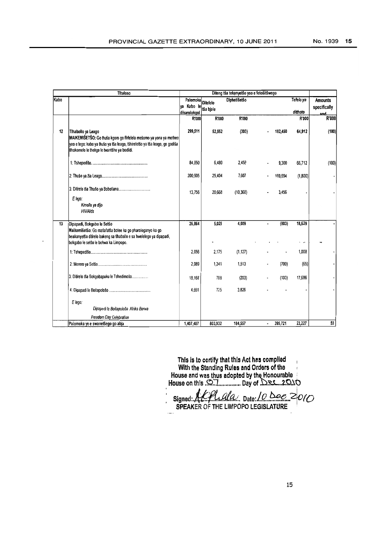|      | <b>Thaloso</b>                                                                                                                                                                                                          |                                        |                              |              | Diteng tša tekanyetšo yeo e fetošitšwego |                      |                                |
|------|-------------------------------------------------------------------------------------------------------------------------------------------------------------------------------------------------------------------------|----------------------------------------|------------------------------|--------------|------------------------------------------|----------------------|--------------------------------|
| Kabo |                                                                                                                                                                                                                         | Palomoka<br>ya Kabo le<br>dikarolokgol | <b>Ditefelo</b><br>tša biale | Diphetišetšo |                                          | Tefelo ya<br>dithoto | <b>Amounts</b><br>specifically |
|      |                                                                                                                                                                                                                         | <b>R'000</b>                           | R'000                        | R'000        |                                          | <b>R'000</b>         | and<br>R'000                   |
| 12   | Tihabolio ya Leago<br>MAIKEMIŠETŠO: Go thuša kgoro go fihlelela mešomo ya yona ya motheo<br>yeo e lego: kabo ya thušo ya tša leago, tšhireletšo ya tša leago, go godiša<br>tlhokomelo le thekgo le twantšho ya bodiidi. | 299,511                                | 52,552                       | (303)        | 182,450                                  | 64,912               | (100)                          |
|      |                                                                                                                                                                                                                         | 84,850                                 | 6,480                        | 2,458        | 9,300                                    | 66,712               | (100)                          |
|      |                                                                                                                                                                                                                         | 200,905                                | 25,404                       | 7,607        | 169,694                                  | (1,800)              |                                |
|      | 3: Ditirelo tsa Thuso ya Bobotlana<br>E lego:<br>Kimollo ya dijo<br><b>HIV/Aids</b>                                                                                                                                     | 13,756                                 | 20,668                       | (10, 368)    | 3.456                                    |                      |                                |
| 13   | Dipapadi, Bokgabo le Setšo<br>Maikemišetšo: Go matlafatša botee ka go pharologanyo ka go<br>beakanyetša dilirelo bakeng sa thabollo e sa hwelelego ya dipapadi,<br>bokgabo le setšo le bohwa ka Limpopo.                | 26,864                                 | 5,029                        | 4.009        | (803)                                    | 18,629<br>۰.         |                                |
|      |                                                                                                                                                                                                                         | 2,056                                  | 2.175                        | (1, 127)     |                                          | 1.008                |                                |
|      |                                                                                                                                                                                                                         | 2,089                                  | 1,341                        | 1,513        | (700)                                    | (65)                 |                                |
|      | 3. Dilirelo Iša Bokgobapuku le Tshedimošo                                                                                                                                                                               | 18,168                                 | 788                          | (203)        | (103)                                    | 17,686               |                                |
|      |                                                                                                                                                                                                                         | 4,551                                  | 725                          | 3.826        |                                          |                      |                                |
|      | E lego:<br>Dipapadi le Boitapološo Afrika Borwa<br>Freedom Day Celebration                                                                                                                                              |                                        |                              |              |                                          |                      |                                |
|      | Palomoka ye e swanetšego go abja                                                                                                                                                                                        | 1,407,487                              | B03,932                      | 184,557      | 395,721<br>$\blacksquare$                | 23,227               | 50                             |

This is to certify that this Act has complied With the Standing Rules and Orders of the House and was thus adopted by the Honourable House on this  $\mathbb{R}\mathbb{Z}$  ................. Day of  $\mathbb{R}\mathbb{Z}$ ...2. $\mathbb{Q}\mathbb{Q}$ 

 $signed. HCHalda$   $Date: 10$   $bee$   $2010$ SPEAKER OF THE LIMPOPO LEGISLATURE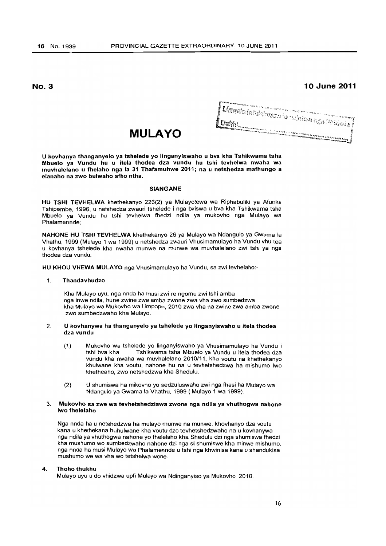**10 June 2011** 

# **MULAYO**

l<br>Libera de la cinera la culciuna nyn Piedrole (<br>Sette აათა ერი ის არიტეტი, მომდე არიტეტის ერთის ერთე არის მართველება.<br>ართაად, რომ ის არიტეტის ერთებული არიტეტი ერთების ერთის ერთის ერთების ერთის ერთის ერთის ერთის ერთის ერთის ერთებ

U kovhanya thanganyelo ya tshelede yo linganyiswaho u bva kha Tshikwama tsha Mbuelo ya Vundu hu u itela thodea dza vundu hu tshi tevhelwa nwaha wa muvhalelano u fhelaho nga la 31 Thafamuhwe 2011; na u netshedza mafhungo a elanaho na zwo bulwaho afho ntha.

#### SIANGANE

HU TSHI TEVHELWA khethekanyo 226(2} ya Mulayotewa wa Riphabuliki ya Afurika Tshipembe, 1996, u netshedza zwauri tshelede i nga bviswa u bva kha Tshikwama tsha Mbuelo ya Vundu hu tshi tevhelwa fhedzi ndila ya mukovho nga Mulayo wa Phalamennde;

NAHONE HU TSHI TEVHELWA khethekanyo 26 ya Mulayo wa Ndangulo ya Gwama la Vhathu, 1999 (Mulayo 1 wa 1999) u netshedza zwauri Vhusimamulayo ha Vundu vhu tea u kovhanya tshelede kha nwaha munwe na munwe wa muvhalelano zwi tshi ya nga thodea dza vundu;

HU KHOU VHEWA MULAYO nga Vhusimamulayo ha Vundu, sa zwi tevhelaho:-

# 1. Thandavhudzo

Kha Mulayo uyu, nga nnda ha musi zwi re ngomu zwi tshi amba nga inwe ndila, hune zwine zwa amba zwone zwa vha zwo sumbedzwa kha Mulayo wa Mukovho wa Limpopo, 2010 zwa vha na zwine zwa amba zwone zwo sumbedzwaho kha Mulayo.

#### 2. U kovhanywa ha thanganyelo ya tshelede yo linganyiswaho u itela thodea dza vundu

- (1) Mukovho wa tshelede yo linganyiswaho ya Vhusimamulayo ha Vundu i tshi bva kha Tshikwama tsha Mbuelo ya Vundu u itela thodea dza vundu kha nwaha wa muvhalelano 2010/11, kha voutu na khethekanyo khutwane kha voutu, nahone hu na u tevhetshedzwa ha mishumo two khetheaho, zwo netshedzwa kha Shedulu.
- (2) U shumiswa ha mikovho yo sedzuluswaho zwi nga fhasi ha Mulayo wa Ndangulo ya Gwama la Vhathu, 1999 (Mulayo 1 wa 1999).

### 3. Mukovho sa zwe wa tevhetshedziswa zwone nga ndila ya vhuthogwa nahone Iwo fhelelaho

Nga nnda ha u netshedzwa ha mulayo munwe na munwe, khovhanyo dza voutu kana u khethekana huhulwane kha voutu dzo tevhetshedzwaho na u kovhanywa nga ndila ya vhuthogwa nahone yo fhetelaho kha Shedulu dzi nga shumiswa fhedzi kha mushumo wo sumbedzwaho nahone dzi nga si shumiswe kha minwe mishumo, nga nnda ha musi Mulayo wa Phalamennde u tshi nga khwinisa kana u shandukisa mushumo we wa vha wo tetshelwa wone.

#### 4. Thoho thukhu

Mulayo uyu u do vhidzwa upfi Mulayo wa Ndinganyiso ya Mukovho 2010.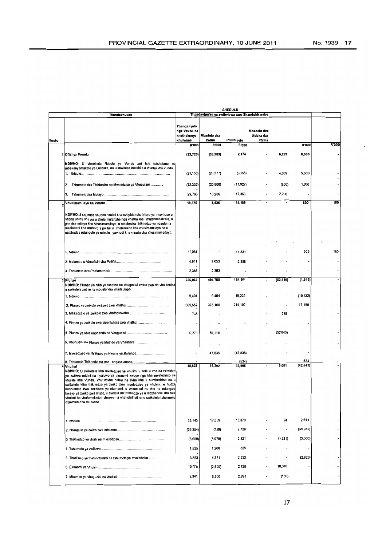|       |                                                                                                                                                                                                                                                                                                                                                                                                                                                                                                                                                                |                                                        |                      | <b>SHEDULU</b>                              |                                   |           |                  |              |
|-------|----------------------------------------------------------------------------------------------------------------------------------------------------------------------------------------------------------------------------------------------------------------------------------------------------------------------------------------------------------------------------------------------------------------------------------------------------------------------------------------------------------------------------------------------------------------|--------------------------------------------------------|----------------------|---------------------------------------------|-----------------------------------|-----------|------------------|--------------|
|       | Thandavhudzo                                                                                                                                                                                                                                                                                                                                                                                                                                                                                                                                                   |                                                        |                      | Thandavhudzo ya zwibviswa zwo Shandukiswaho |                                   |           |                  |              |
| Voutu |                                                                                                                                                                                                                                                                                                                                                                                                                                                                                                                                                                | Thanganyelo<br>nga Voutu na<br>khethekanyo<br>khulwane | Mbadelo dza<br>zwino | Pfukhiselo                                  | Mbadelo dza<br>Ndaka dza<br>Pfuma |           |                  |              |
|       |                                                                                                                                                                                                                                                                                                                                                                                                                                                                                                                                                                | <b>R'000</b>                                           | R'000                | <b>R'000</b>                                |                                   |           | R'000            | <b>R'000</b> |
|       | 1 Ofisi ya Premia                                                                                                                                                                                                                                                                                                                                                                                                                                                                                                                                              | (23, 720)                                              | (38, 983)            | 2,174                                       |                                   | 6,289     | 6,800            |              |
|       | NDIVHO: U vhetshela Ndaulo ya Vundu zwi tshi tutshelana na<br>mbekanyamaitele ya Lushaka, na u khwinisa matshilo a vhathu vha vundu                                                                                                                                                                                                                                                                                                                                                                                                                            | (21, 153)                                              | (28, 377)            | (3,265)                                     |                                   | 4,889     | 5,600            |              |
|       | Tshumelo dza Thikhedzo na Mvaledziso ya Viupulani<br>2.                                                                                                                                                                                                                                                                                                                                                                                                                                                                                                        | (32, 333)                                              | (20, 806)            | (11,927)                                    |                                   | (800)     | 1,200            |              |
|       | 3.                                                                                                                                                                                                                                                                                                                                                                                                                                                                                                                                                             | 29,766                                                 | 10,200               | 17,366                                      |                                   | 2,200     |                  |              |
|       | Vhusimamilayo ha Vundu                                                                                                                                                                                                                                                                                                                                                                                                                                                                                                                                         | 19,376                                                 | 4,436                | 14,189                                      |                                   |           | 600              | 150          |
|       | NDIVHO:U shumisa vhudifhinduleli kha tshipida tsha khoro ya muvhuso u<br>vhona un hu vhe na u shela mulenzhe nga vhathu kha matshimbidzele, u<br>phasisa milayo kha Vhusimamilayo, u netshedza thikhedzo ya ndaulo na<br>masheleni kha mahoro a politiki o imelelwaho kha vhusimamilayo na u<br>netshedza ndangulo ya ndaulo yavhudi kha mirado vha vhusimamailayo.                                                                                                                                                                                            |                                                        |                      |                                             |                                   |           |                  |              |
|       |                                                                                                                                                                                                                                                                                                                                                                                                                                                                                                                                                                | 12,081                                                 |                      | 11,331                                      |                                   |           | 600              | 150          |
|       |                                                                                                                                                                                                                                                                                                                                                                                                                                                                                                                                                                | 4,911                                                  | 2,053                | 2,858                                       |                                   |           |                  |              |
|       |                                                                                                                                                                                                                                                                                                                                                                                                                                                                                                                                                                | 2,383                                                  | 2,383                |                                             |                                   |           |                  |              |
|       | 3 Pfunzo<br>NDIVHO: Pfunzo ya ntha ya tshothe na vhugudisi zwine zwa do vha konisa<br>u swikelela zwi re na mbuelo kha vhadzulapo.                                                                                                                                                                                                                                                                                                                                                                                                                             | 626.069                                                | 494,758              | 184,964                                     |                                   | (52,110)  | (1, 643)         |              |
|       |                                                                                                                                                                                                                                                                                                                                                                                                                                                                                                                                                                | 9,404                                                  | 9,404                | 19,232                                      |                                   |           | (19, 232)        |              |
|       |                                                                                                                                                                                                                                                                                                                                                                                                                                                                                                                                                                | 609,657                                                | 378,400              | 214,102                                     |                                   |           | 17,155           |              |
|       |                                                                                                                                                                                                                                                                                                                                                                                                                                                                                                                                                                | 735                                                    |                      |                                             |                                   | 735       |                  |              |
|       | 4. Pfunzo ya zwikolo zwa sipentshala zwa vhathu                                                                                                                                                                                                                                                                                                                                                                                                                                                                                                                |                                                        |                      |                                             |                                   |           |                  |              |
|       |                                                                                                                                                                                                                                                                                                                                                                                                                                                                                                                                                                | 6,273                                                  | 59,118               |                                             |                                   | (52, 845) |                  |              |
|       |                                                                                                                                                                                                                                                                                                                                                                                                                                                                                                                                                                |                                                        |                      |                                             |                                   |           |                  |              |
|       | 7. Mveledziso ya Nyaluwo ya Nwana ya Murango                                                                                                                                                                                                                                                                                                                                                                                                                                                                                                                   |                                                        | 47,836               | (47, 836)                                   |                                   |           |                  |              |
|       |                                                                                                                                                                                                                                                                                                                                                                                                                                                                                                                                                                |                                                        |                      | (534)                                       |                                   |           | 534<br>(42, 641) |              |
|       | 4 Vhulimi<br>NDIVHO: U swikelela kha mveledziso ya vhulimi u itela u vha na tsireldzo<br>ya zwiliwa midini na nyaluwo ya ekonomi kwayo nga kha mveledziso ya<br>vhulimi kha Vundu. Vhu dovhe haftu ha livha kha u sumbedzisa na u<br>swikelela klha thikhedzo ya zwiko zwa mveledziso ya vhulimi, u hudza<br>kushumele kwa sekithara ya ekonomi, u vhona un hu vhe na ndangulo<br>kwayo ya zwiko zwa mupo, u bvelela na thikhedzo ya u didzhenisa kha zwa<br>vhutimi ha vhafumakadzi, vhaswa na vhaholefhali na u swikelela tshunmelo<br>dzavhudi dza muhasho. | 18,627                                                 | 18,302               | 33,905                                      |                                   | 9,061     |                  |              |
|       |                                                                                                                                                                                                                                                                                                                                                                                                                                                                                                                                                                | 33,143                                                 | 17,059               | 13,379                                      |                                   | 94        | 2,611            |              |
|       |                                                                                                                                                                                                                                                                                                                                                                                                                                                                                                                                                                | (36, 354)                                              | (150)                | 2,728                                       |                                   |           | (38, 932)        |              |
|       |                                                                                                                                                                                                                                                                                                                                                                                                                                                                                                                                                                | (3,689)                                                | (8,079)              | 9,421                                       |                                   | (1,531)   | (3,500)          |              |
|       |                                                                                                                                                                                                                                                                                                                                                                                                                                                                                                                                                                | 1,525                                                  | 1,200                | 325                                         |                                   | ٠         |                  |              |
|       | 5. Thodisiso ya thekinolodzhi na tshumelo ya mveledziso                                                                                                                                                                                                                                                                                                                                                                                                                                                                                                        | 3,883                                                  | 4,371                | 2,332                                       |                                   | ٠         | (2,820)          |              |
|       |                                                                                                                                                                                                                                                                                                                                                                                                                                                                                                                                                                | 10,778                                                 | (2,599)              | 2,729                                       |                                   | 10,648    |                  |              |
|       |                                                                                                                                                                                                                                                                                                                                                                                                                                                                                                                                                                | 9,341                                                  | 6,500                | 2,991                                       |                                   | (150)     |                  |              |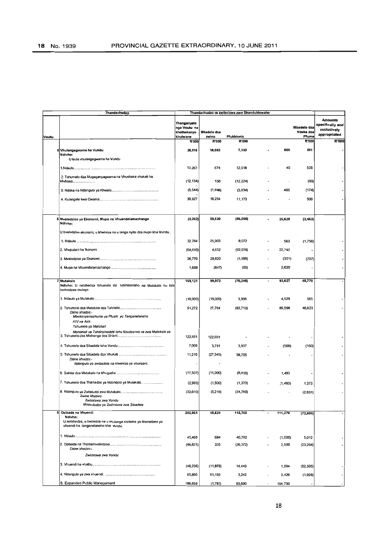| <b>Amounts</b><br>Thanganyelo<br>specifically and<br>Mbadolo dza<br>nga Voutu na<br>exclusively<br>Mbadelo dza<br>Ndaka dza<br>khethekanyo<br>appropriated<br>Pfuma<br>khulwane<br>zwino<br>Pfukhiselo<br>Voutu<br>R'000<br>R'000<br>R'000<br><b>R'000</b><br><b>R'000</b><br>801<br>600<br>26,616<br>18,082<br>7,133<br>5 Vhulangagwama ha Vundu<br>Ndivho:<br>U laula vhulangagwama ha Vundu<br>535<br>674<br>40<br>13,267<br>12,018<br>2: Tshumelo dza Mugaganyagwama na Vhushaka vhukati ha<br>150<br>(60)<br>(12, 224)<br>(12, 134)<br>Mivhuso<br>460<br>(174)<br>(1,996)<br>(5, 544)<br>(3,834)<br>30,927<br>19,254<br>11,173<br>500<br>59,630<br>26,629<br>(2, 463)<br>(3, 362)<br>(86,058)<br>6 Mveledziso ya Ekonomi, Mupo na Vhuendelamashango<br>Ndivho:<br>U bveledzisa ekonomi, u khwinisa na u langa nyito dza mupo kha Vundu<br>25,905<br>8,072<br>563<br>(1,756)<br>32.784<br>(64, 610)<br>4,652<br>(92, 059)<br>22,797<br>2. Vhupulani ha Ikonomi<br>29,820<br>(351)<br>(707)<br>26,776<br>(1,966)<br>2,620<br>1,688<br>(847)<br>(85)<br>46,770<br>169,121<br>99,972<br>(70, 248)<br>93,627<br>7 Mutakalo<br>Ndivho: U netshedza tshumelo dzi tutshelanaho na Mutakalo hu tshi<br>tevhedzwa mulayo<br>(10,000)<br>(19,000)<br>4,529<br>565<br>3,906<br>91,272<br>37,764<br>(82, 713)<br>69,598<br>46,623<br>Dzine khadzo:-<br>Mbekanyamushumo ya Pfushi yo Tanganelanaho<br>HIV na Aids<br>Tshumelo ya Motshari<br>Mphomali va Tshitirathedzhi tsha Nzudzanyo va zwa Mutakalo va<br>122,681<br>122,681<br>3,791<br>7,068<br>3,937<br>(500)<br>(160)<br>11,210<br>(27, 545)<br>38,755<br>Dzine khadzo:-<br>Ndangulo ya zwibadela na khwiniso ya vhunzani.<br>(17,507)<br>(11,000)<br>(8,000)<br>1,493<br>7. Tshumelo dza Thikhedzo ya Ndondolo ya Mutakalo<br>(2,993)<br>(1,500)<br>(1, 373)<br>(1, 493)<br>1,373<br>(32, 610)<br>(2,631)<br>(5,219)<br>(24, 760)<br>Zwine khazwo:<br>Zwiimiswa zwa Vundu<br>Mvusuludzo ya Zwiimiswa zwa Sibadela<br>202,964<br>48,624<br>115,765<br>8 Dzibada na Vhuendi<br>111,270<br>(72, 595)<br>Ndivho:<br>U netshedza, u bveledza na u vhulunga sisiteme ya khonadzeo ya<br>vhuendi ho tanganelanaho kha vundu.<br>45,468<br>694<br>40,762<br>(1,000)<br>5,012<br>335<br>(46, 821)<br>2,500<br>(26, 372)<br>(23, 284)<br>Dzine khadzo:-<br>Zwiimiswa zwa Vundu<br>(48, 236)<br>(11, 878)<br>14,443<br>1,594<br>(52, 395)<br>65,895<br>61,155<br>3,242<br>3,426<br>(1,928)<br>5. Expanded Public Management<br>186,658<br>83,690<br>(1,782)<br>104,750 | Thandavhudzo |  | Thandavhudzo ya zwibviswa zwo Shandukiswaho |  |  |
|-------------------------------------------------------------------------------------------------------------------------------------------------------------------------------------------------------------------------------------------------------------------------------------------------------------------------------------------------------------------------------------------------------------------------------------------------------------------------------------------------------------------------------------------------------------------------------------------------------------------------------------------------------------------------------------------------------------------------------------------------------------------------------------------------------------------------------------------------------------------------------------------------------------------------------------------------------------------------------------------------------------------------------------------------------------------------------------------------------------------------------------------------------------------------------------------------------------------------------------------------------------------------------------------------------------------------------------------------------------------------------------------------------------------------------------------------------------------------------------------------------------------------------------------------------------------------------------------------------------------------------------------------------------------------------------------------------------------------------------------------------------------------------------------------------------------------------------------------------------------------------------------------------------------------------------------------------------------------------------------------------------------------------------------------------------------------------------------------------------------------------------------------------------------------------------------------------------------------------------------------------------------------------------------------------------------------------------------------------------------------------------------------------------------------------------------------------------------------------------------------------------|--------------|--|---------------------------------------------|--|--|
|                                                                                                                                                                                                                                                                                                                                                                                                                                                                                                                                                                                                                                                                                                                                                                                                                                                                                                                                                                                                                                                                                                                                                                                                                                                                                                                                                                                                                                                                                                                                                                                                                                                                                                                                                                                                                                                                                                                                                                                                                                                                                                                                                                                                                                                                                                                                                                                                                                                                                                             |              |  |                                             |  |  |
|                                                                                                                                                                                                                                                                                                                                                                                                                                                                                                                                                                                                                                                                                                                                                                                                                                                                                                                                                                                                                                                                                                                                                                                                                                                                                                                                                                                                                                                                                                                                                                                                                                                                                                                                                                                                                                                                                                                                                                                                                                                                                                                                                                                                                                                                                                                                                                                                                                                                                                             |              |  |                                             |  |  |
|                                                                                                                                                                                                                                                                                                                                                                                                                                                                                                                                                                                                                                                                                                                                                                                                                                                                                                                                                                                                                                                                                                                                                                                                                                                                                                                                                                                                                                                                                                                                                                                                                                                                                                                                                                                                                                                                                                                                                                                                                                                                                                                                                                                                                                                                                                                                                                                                                                                                                                             |              |  |                                             |  |  |
|                                                                                                                                                                                                                                                                                                                                                                                                                                                                                                                                                                                                                                                                                                                                                                                                                                                                                                                                                                                                                                                                                                                                                                                                                                                                                                                                                                                                                                                                                                                                                                                                                                                                                                                                                                                                                                                                                                                                                                                                                                                                                                                                                                                                                                                                                                                                                                                                                                                                                                             |              |  |                                             |  |  |
|                                                                                                                                                                                                                                                                                                                                                                                                                                                                                                                                                                                                                                                                                                                                                                                                                                                                                                                                                                                                                                                                                                                                                                                                                                                                                                                                                                                                                                                                                                                                                                                                                                                                                                                                                                                                                                                                                                                                                                                                                                                                                                                                                                                                                                                                                                                                                                                                                                                                                                             |              |  |                                             |  |  |
|                                                                                                                                                                                                                                                                                                                                                                                                                                                                                                                                                                                                                                                                                                                                                                                                                                                                                                                                                                                                                                                                                                                                                                                                                                                                                                                                                                                                                                                                                                                                                                                                                                                                                                                                                                                                                                                                                                                                                                                                                                                                                                                                                                                                                                                                                                                                                                                                                                                                                                             |              |  |                                             |  |  |
|                                                                                                                                                                                                                                                                                                                                                                                                                                                                                                                                                                                                                                                                                                                                                                                                                                                                                                                                                                                                                                                                                                                                                                                                                                                                                                                                                                                                                                                                                                                                                                                                                                                                                                                                                                                                                                                                                                                                                                                                                                                                                                                                                                                                                                                                                                                                                                                                                                                                                                             |              |  |                                             |  |  |
|                                                                                                                                                                                                                                                                                                                                                                                                                                                                                                                                                                                                                                                                                                                                                                                                                                                                                                                                                                                                                                                                                                                                                                                                                                                                                                                                                                                                                                                                                                                                                                                                                                                                                                                                                                                                                                                                                                                                                                                                                                                                                                                                                                                                                                                                                                                                                                                                                                                                                                             |              |  |                                             |  |  |
|                                                                                                                                                                                                                                                                                                                                                                                                                                                                                                                                                                                                                                                                                                                                                                                                                                                                                                                                                                                                                                                                                                                                                                                                                                                                                                                                                                                                                                                                                                                                                                                                                                                                                                                                                                                                                                                                                                                                                                                                                                                                                                                                                                                                                                                                                                                                                                                                                                                                                                             |              |  |                                             |  |  |
|                                                                                                                                                                                                                                                                                                                                                                                                                                                                                                                                                                                                                                                                                                                                                                                                                                                                                                                                                                                                                                                                                                                                                                                                                                                                                                                                                                                                                                                                                                                                                                                                                                                                                                                                                                                                                                                                                                                                                                                                                                                                                                                                                                                                                                                                                                                                                                                                                                                                                                             |              |  |                                             |  |  |
|                                                                                                                                                                                                                                                                                                                                                                                                                                                                                                                                                                                                                                                                                                                                                                                                                                                                                                                                                                                                                                                                                                                                                                                                                                                                                                                                                                                                                                                                                                                                                                                                                                                                                                                                                                                                                                                                                                                                                                                                                                                                                                                                                                                                                                                                                                                                                                                                                                                                                                             |              |  |                                             |  |  |
|                                                                                                                                                                                                                                                                                                                                                                                                                                                                                                                                                                                                                                                                                                                                                                                                                                                                                                                                                                                                                                                                                                                                                                                                                                                                                                                                                                                                                                                                                                                                                                                                                                                                                                                                                                                                                                                                                                                                                                                                                                                                                                                                                                                                                                                                                                                                                                                                                                                                                                             |              |  |                                             |  |  |
|                                                                                                                                                                                                                                                                                                                                                                                                                                                                                                                                                                                                                                                                                                                                                                                                                                                                                                                                                                                                                                                                                                                                                                                                                                                                                                                                                                                                                                                                                                                                                                                                                                                                                                                                                                                                                                                                                                                                                                                                                                                                                                                                                                                                                                                                                                                                                                                                                                                                                                             |              |  |                                             |  |  |
|                                                                                                                                                                                                                                                                                                                                                                                                                                                                                                                                                                                                                                                                                                                                                                                                                                                                                                                                                                                                                                                                                                                                                                                                                                                                                                                                                                                                                                                                                                                                                                                                                                                                                                                                                                                                                                                                                                                                                                                                                                                                                                                                                                                                                                                                                                                                                                                                                                                                                                             |              |  |                                             |  |  |
|                                                                                                                                                                                                                                                                                                                                                                                                                                                                                                                                                                                                                                                                                                                                                                                                                                                                                                                                                                                                                                                                                                                                                                                                                                                                                                                                                                                                                                                                                                                                                                                                                                                                                                                                                                                                                                                                                                                                                                                                                                                                                                                                                                                                                                                                                                                                                                                                                                                                                                             |              |  |                                             |  |  |
|                                                                                                                                                                                                                                                                                                                                                                                                                                                                                                                                                                                                                                                                                                                                                                                                                                                                                                                                                                                                                                                                                                                                                                                                                                                                                                                                                                                                                                                                                                                                                                                                                                                                                                                                                                                                                                                                                                                                                                                                                                                                                                                                                                                                                                                                                                                                                                                                                                                                                                             |              |  |                                             |  |  |
|                                                                                                                                                                                                                                                                                                                                                                                                                                                                                                                                                                                                                                                                                                                                                                                                                                                                                                                                                                                                                                                                                                                                                                                                                                                                                                                                                                                                                                                                                                                                                                                                                                                                                                                                                                                                                                                                                                                                                                                                                                                                                                                                                                                                                                                                                                                                                                                                                                                                                                             |              |  |                                             |  |  |
|                                                                                                                                                                                                                                                                                                                                                                                                                                                                                                                                                                                                                                                                                                                                                                                                                                                                                                                                                                                                                                                                                                                                                                                                                                                                                                                                                                                                                                                                                                                                                                                                                                                                                                                                                                                                                                                                                                                                                                                                                                                                                                                                                                                                                                                                                                                                                                                                                                                                                                             |              |  |                                             |  |  |
|                                                                                                                                                                                                                                                                                                                                                                                                                                                                                                                                                                                                                                                                                                                                                                                                                                                                                                                                                                                                                                                                                                                                                                                                                                                                                                                                                                                                                                                                                                                                                                                                                                                                                                                                                                                                                                                                                                                                                                                                                                                                                                                                                                                                                                                                                                                                                                                                                                                                                                             |              |  |                                             |  |  |
|                                                                                                                                                                                                                                                                                                                                                                                                                                                                                                                                                                                                                                                                                                                                                                                                                                                                                                                                                                                                                                                                                                                                                                                                                                                                                                                                                                                                                                                                                                                                                                                                                                                                                                                                                                                                                                                                                                                                                                                                                                                                                                                                                                                                                                                                                                                                                                                                                                                                                                             |              |  |                                             |  |  |
|                                                                                                                                                                                                                                                                                                                                                                                                                                                                                                                                                                                                                                                                                                                                                                                                                                                                                                                                                                                                                                                                                                                                                                                                                                                                                                                                                                                                                                                                                                                                                                                                                                                                                                                                                                                                                                                                                                                                                                                                                                                                                                                                                                                                                                                                                                                                                                                                                                                                                                             |              |  |                                             |  |  |
|                                                                                                                                                                                                                                                                                                                                                                                                                                                                                                                                                                                                                                                                                                                                                                                                                                                                                                                                                                                                                                                                                                                                                                                                                                                                                                                                                                                                                                                                                                                                                                                                                                                                                                                                                                                                                                                                                                                                                                                                                                                                                                                                                                                                                                                                                                                                                                                                                                                                                                             |              |  |                                             |  |  |
|                                                                                                                                                                                                                                                                                                                                                                                                                                                                                                                                                                                                                                                                                                                                                                                                                                                                                                                                                                                                                                                                                                                                                                                                                                                                                                                                                                                                                                                                                                                                                                                                                                                                                                                                                                                                                                                                                                                                                                                                                                                                                                                                                                                                                                                                                                                                                                                                                                                                                                             |              |  |                                             |  |  |
|                                                                                                                                                                                                                                                                                                                                                                                                                                                                                                                                                                                                                                                                                                                                                                                                                                                                                                                                                                                                                                                                                                                                                                                                                                                                                                                                                                                                                                                                                                                                                                                                                                                                                                                                                                                                                                                                                                                                                                                                                                                                                                                                                                                                                                                                                                                                                                                                                                                                                                             |              |  |                                             |  |  |
|                                                                                                                                                                                                                                                                                                                                                                                                                                                                                                                                                                                                                                                                                                                                                                                                                                                                                                                                                                                                                                                                                                                                                                                                                                                                                                                                                                                                                                                                                                                                                                                                                                                                                                                                                                                                                                                                                                                                                                                                                                                                                                                                                                                                                                                                                                                                                                                                                                                                                                             |              |  |                                             |  |  |
|                                                                                                                                                                                                                                                                                                                                                                                                                                                                                                                                                                                                                                                                                                                                                                                                                                                                                                                                                                                                                                                                                                                                                                                                                                                                                                                                                                                                                                                                                                                                                                                                                                                                                                                                                                                                                                                                                                                                                                                                                                                                                                                                                                                                                                                                                                                                                                                                                                                                                                             |              |  |                                             |  |  |
|                                                                                                                                                                                                                                                                                                                                                                                                                                                                                                                                                                                                                                                                                                                                                                                                                                                                                                                                                                                                                                                                                                                                                                                                                                                                                                                                                                                                                                                                                                                                                                                                                                                                                                                                                                                                                                                                                                                                                                                                                                                                                                                                                                                                                                                                                                                                                                                                                                                                                                             |              |  |                                             |  |  |
|                                                                                                                                                                                                                                                                                                                                                                                                                                                                                                                                                                                                                                                                                                                                                                                                                                                                                                                                                                                                                                                                                                                                                                                                                                                                                                                                                                                                                                                                                                                                                                                                                                                                                                                                                                                                                                                                                                                                                                                                                                                                                                                                                                                                                                                                                                                                                                                                                                                                                                             |              |  |                                             |  |  |
|                                                                                                                                                                                                                                                                                                                                                                                                                                                                                                                                                                                                                                                                                                                                                                                                                                                                                                                                                                                                                                                                                                                                                                                                                                                                                                                                                                                                                                                                                                                                                                                                                                                                                                                                                                                                                                                                                                                                                                                                                                                                                                                                                                                                                                                                                                                                                                                                                                                                                                             |              |  |                                             |  |  |
|                                                                                                                                                                                                                                                                                                                                                                                                                                                                                                                                                                                                                                                                                                                                                                                                                                                                                                                                                                                                                                                                                                                                                                                                                                                                                                                                                                                                                                                                                                                                                                                                                                                                                                                                                                                                                                                                                                                                                                                                                                                                                                                                                                                                                                                                                                                                                                                                                                                                                                             |              |  |                                             |  |  |
|                                                                                                                                                                                                                                                                                                                                                                                                                                                                                                                                                                                                                                                                                                                                                                                                                                                                                                                                                                                                                                                                                                                                                                                                                                                                                                                                                                                                                                                                                                                                                                                                                                                                                                                                                                                                                                                                                                                                                                                                                                                                                                                                                                                                                                                                                                                                                                                                                                                                                                             |              |  |                                             |  |  |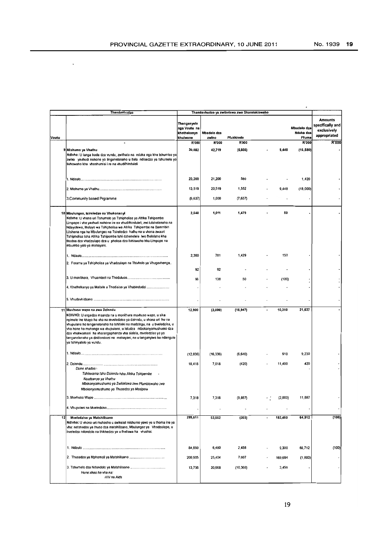$\ddot{\phantom{1}}$ 

|       | Thandavhudzo                                                                                                                                                                                                                                                                                                                                                                                                                                                                                        |                                                        |                      | Thandavhudzo ya zwibviswa zwo Shandukiswaho |         |                                   |                                                                   |
|-------|-----------------------------------------------------------------------------------------------------------------------------------------------------------------------------------------------------------------------------------------------------------------------------------------------------------------------------------------------------------------------------------------------------------------------------------------------------------------------------------------------------|--------------------------------------------------------|----------------------|---------------------------------------------|---------|-----------------------------------|-------------------------------------------------------------------|
| Voutu |                                                                                                                                                                                                                                                                                                                                                                                                                                                                                                     | Thanganyelo<br>nga Voutu na<br>khethekanyo<br>khulwane | Mbadelo dza<br>zwino | Pfukhiselo                                  |         | Mbadelo dza<br>Ndaka dza<br>Pfuma | <b>Amounts</b><br>specifically and<br>exclusively<br>appropriated |
|       | $\bullet$                                                                                                                                                                                                                                                                                                                                                                                                                                                                                           | R'000                                                  | R'000                | <b>R'000</b>                                |         | R'000                             | R'000                                                             |
|       | 9 Mishumo ya Vhathu<br>Ndivho: U langa bada dza vundu, zwifhato na ndaka nga kha tshumiso ya<br>zwiko yavhudi nahone yo linganelanaho u itela ndisedzo ya tshumelo yo<br>livhiswaho kha vhashumisi i re na vhudifhinduleli                                                                                                                                                                                                                                                                          | 30,082                                                 | 42,719               | (6, 505)                                    | 9,448   | (16, 580)                         |                                                                   |
|       |                                                                                                                                                                                                                                                                                                                                                                                                                                                                                                     | 23,200                                                 | 21,200               | 580                                         |         | 1,420                             |                                                                   |
|       |                                                                                                                                                                                                                                                                                                                                                                                                                                                                                                     | 13,519                                                 | 20,519               | 1,552                                       | 9,448   | (18,000)                          |                                                                   |
|       | 3. Community based Prgramme                                                                                                                                                                                                                                                                                                                                                                                                                                                                         | (6, 637)                                               | 1,000                | (7,637)                                     |         |                                   |                                                                   |
|       | 10 Mbulungeo, tsireledzo na Vhukonanyi<br>Ndivho: U vhona uri Tshumelo ya Tshipholisa ya Afrika Tshipembe<br>Limpopo i vhe yavhudi nahone ire na vhudifhinduleli, zwi tutshelanaho na<br>Ndayotewa, Mulayo wa Tshipholisa wa Afrika Tshipembe na Bammbiri<br>Litshena nga ha Mbulungeo na Tsireledzo hafhu na u vhona zwauri<br>Tshipholisa tsha Afrika Tshipembe tshi dzhenelele kvo melelaho kha<br>thodea dza vhadzulapo dza u pholisa dzo livhiswaho kha Limpopo na<br>mbumbo yalo ya mahayani. | 2,540                                                  | 1,011                | 1,479                                       | 50      |                                   |                                                                   |
|       |                                                                                                                                                                                                                                                                                                                                                                                                                                                                                                     | 2,360                                                  | 781                  | 1,429                                       | 150     |                                   |                                                                   |
|       | 2. Foramu ya Tshipholisa ya Vhadzulapo na Thivhelo ya Vhugevhenga                                                                                                                                                                                                                                                                                                                                                                                                                                   | 92                                                     | 92                   |                                             |         |                                   |                                                                   |
|       |                                                                                                                                                                                                                                                                                                                                                                                                                                                                                                     | 88                                                     | 138                  | 50                                          | (100)   |                                   |                                                                   |
|       | 4. Khethekanyo ya Maitele a Thodisiso ya Vhubindudzi                                                                                                                                                                                                                                                                                                                                                                                                                                                |                                                        |                      |                                             |         |                                   |                                                                   |
|       |                                                                                                                                                                                                                                                                                                                                                                                                                                                                                                     |                                                        |                      |                                             |         |                                   |                                                                   |
|       | 11 Muvhuso wapo na zwa Dzinndu<br>NDIVHO: U engedza maanda na u monithara muvhuso wapo, u sika<br>nyimele ine khayo ha vha na mveledziso ya dzinndu, u vhona un hu na<br>vhupulane ho tenganelanaho ha tshitinki na madzingu, na u bveledzisa, u<br>vha hone ha muhanga wa vhupulane, u leludza mbekanyamushumo dza<br>dza vhukwamani ha vharangaphanda vha sialala, mveledziso ya yo<br>tanganelanaho ya dzidoroboni na mahayani, na u tanganyiwa ha ndangulo<br>ya tshinyalelo ya vundu.          | 12,900                                                 | (2,000)              | (16, 947)                                   | 10,310  | 21,637                            |                                                                   |
|       |                                                                                                                                                                                                                                                                                                                                                                                                                                                                                                     | (12, 836)                                              | (16, 336)            | (6,640)                                     | 910     | 9,230                             |                                                                   |
|       | Dzine khadzo:-<br>Tshikwama tsha Dzinndu tsha Afrika Tshipembe<br>Nzudzanyo ya Vhathu<br>Mbekanyamushumo ya Zwiimiswa zwo Pfumbiswaho zwa<br>Mbekanyamushumo ya Thusedzo ya Masipala                                                                                                                                                                                                                                                                                                                | 18,418                                                 | 7,018                | (420)                                       | 11,400  | 420                               |                                                                   |
|       | Muvhuso Wapo                                                                                                                                                                                                                                                                                                                                                                                                                                                                                        | 7,318                                                  | 7,318                | (9,887)                                     | (2.000) | 11.887                            |                                                                   |
|       |                                                                                                                                                                                                                                                                                                                                                                                                                                                                                                     |                                                        |                      |                                             |         |                                   |                                                                   |
| 12    | Mveledziso ya Matshilisano<br>Ndivho: U vhona un muhasho u swikelel mishumo yawo ya u thoma ine ya<br>vha: netshedzo ya thuso dza matshilisano, Mbulungeo ya Vhadzulapo, u<br>bveledza ndondolo na thikhedzo ya u fheliswa ha vhushai.                                                                                                                                                                                                                                                              | 299,611                                                | 52,552               | (303)                                       | 182,450 | 64,912                            | (100)                                                             |
|       |                                                                                                                                                                                                                                                                                                                                                                                                                                                                                                     | 84,850                                                 | 6,480                | 2,458                                       | 9,300   | 66,712                            | (100)                                                             |
|       |                                                                                                                                                                                                                                                                                                                                                                                                                                                                                                     | 200,905                                                | 25,404               | 7,607                                       | 169,694 | (1, 800)                          |                                                                   |
|       | Hune khao ha vha na:<br>HIV na Aids                                                                                                                                                                                                                                                                                                                                                                                                                                                                 | 13,756                                                 | 20,668               | (10, 368)                                   | 3,456   |                                   |                                                                   |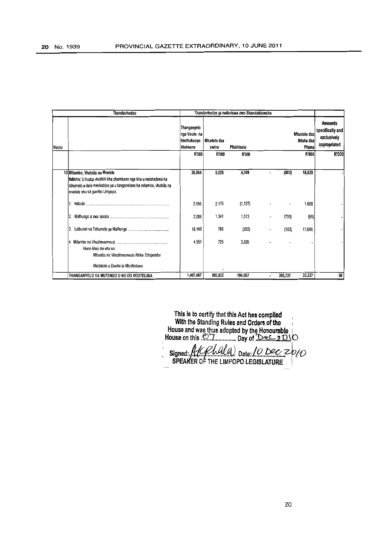|       | Thandavhudzo                                                                                                                                                                                               |                                                               |                      | Thandavhudzo ya zwibviswa zwo Shandukiswaho |   |                                   |                                                                   |
|-------|------------------------------------------------------------------------------------------------------------------------------------------------------------------------------------------------------------|---------------------------------------------------------------|----------------------|---------------------------------------------|---|-----------------------------------|-------------------------------------------------------------------|
| Voutu |                                                                                                                                                                                                            | Thanganyelo<br>nga Voutu na<br>khethekanyo<br><b>khulwane</b> | Mbadelo dza<br>zwino | Pfukhiselo                                  |   | Mbadelo dza<br>Ndaka dza<br>Pfuma | <b>Amounts</b><br>specifically and<br>exclusively<br>appropriated |
|       |                                                                                                                                                                                                            | R'000                                                         | R'000                | R'000                                       |   | <b>R'000</b>                      | R'000                                                             |
|       | 13 Mitambo, Vhutsila na Mvelele<br>Ndivho: U hudza vhuthihi kha phambano nga kha u netshedzwa ha<br>tshumelo u itela mveledziso ya u tanganelana ha mitambo, vhutsila na<br>mvelele vhu sa gumiho Limpopo. | 26,864                                                        | 5.029                | 4,009                                       |   | 18,629<br>(803)                   |                                                                   |
|       |                                                                                                                                                                                                            | 2,056                                                         | 2,175                | (1, 127)                                    |   | 1,008                             |                                                                   |
|       |                                                                                                                                                                                                            | 2,089                                                         | 1,341                | 1,513                                       | ٠ | (65)<br>(700)                     |                                                                   |
|       | 13                                                                                                                                                                                                         | 18,168                                                        | 788                  | (203)                                       |   | 17,686<br>(103)                   |                                                                   |
|       | 14.<br>Hune khao ha vha na:<br>Mitambo na Vhudimvumvusi Afrika Tshipembe<br>Madakalo a Duvha la Mbofholowo                                                                                                 | 4,551                                                         | 725                  | 3,826                                       |   |                                   |                                                                   |
|       | THANGANYELO YA MUTENGO U NO DO VOUTELIWA                                                                                                                                                                   | 1,407,487                                                     | 803,932              | 184,557                                     |   | 23,227<br>395,721                 | 50                                                                |

This is to certify that this Act has compiled **With the Standing Rules and Orders of the** House and was thus adopted by the Honourable i House on this  $\mathbb{Z}$ . J ............... Day of  $\mathbb{Q}_2$ ,  $\mathbb{Q}_3$ ,  $\mathbb{Q}_4$ 

Signed: A/CPLULA) Date: 10 Dec 2010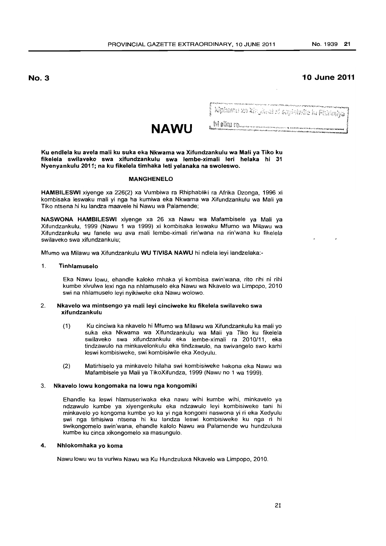# **10 June 2011**

Kipheral xa kit jihad di sayinkala la Filialiya

р<br>1967 — Франция В. 1973<br>1978: Форде пространение формальные составляется в составлении с составляет в войных формальных растранских п<br>1978: Форде при принимательных составлениях компаниях получается составляется получае

**NAWU** 

Ku endlela ku avela mali ku suka eka Nkwama wa Xifundzankulu wa Mali ya Tiko ku fikelela swilaveko swa xifundzankulu swa lembe-ximali leri helaka hi 31 Nyenyankulu 2011; na ku fikelela timhaka leti yelanaka na swoleswo.

#### MANGHENELO

HAMBILESWI xiyenge xa 226(2) xa Vumbiwa ra Rhiphabliki ra Afrika Dzonga, 1996 xi kombisaka leswaku mali yi nga ha kumiwa eka Nkwama wa Xifundzankulu wa Mali ya Tiko ntsena hi ku landza maavele hi Nawu wa Palamende;

NASWONA HAMBILESWI xiyenge xa 26 xa Nawu wa Mafambisele ya Mali ya Xifundzankulu, 1999 (Nawu 1 wa 1999) xi kombisaka leswaku Mfumo wa Milawu wa Xifundzankulu wu fanele wu ava mali lembe-ximali rin'wana na rin'wana ku fikelela swilaveko swa xifundzankulu;

Mfumo wa Milawu wa Xifundzankulu WU TIVISA NAWU hi ndlela leyi landzelaka:-

# 1. Tinhlamuselo

Eka Nawu lowu, ehandle kaloko mhaka yi kombisa swin'wana, rito rihi ni rihi kumbe xivulwa lexi nga na nhlamuselo eka Nawu wa Nkavelo wa Limpopo, 2010 swi na nhlamuselo leyi nyikiweke eka Nawu wolowo.

#### 2. Nkavelo wa mintsengo ya mali leyi cinciweke ku fikelela swilaveko swa xifundzankulu

- (1) Ku cinciwa ka nkavelo hi Mfumo wa Milawu wa Xifundzankulu ka mali yo suka eka Nkwama wa Xifundzankulu wa Mali ya Tiko ku fikelela swilaveko swa xifundzankulu eka lembe-ximali ra 2010/11, eka tindzawulo na minkavelonkulu eka tindzawulo, na swivangelo swo karhi leswi kombisiweke, swi kombisiwile eka Xedyulu.
- (2) Matirhiselo ya minkavelo hilaha swi kombisiweke hakona eka Nawu wa Mafambisele ya Mali ya TikoXifundza, 1999 (Nawu no 1 wa 1999).

#### 3. Nkavelo lowu kongomaka na lowu nga kongomiki

Ehandle ka leswi hlamuseriwaka eka nawu wihi kumbe wihi, minkavelo ya ndzawulo kumbe ya xiyengenkulu eka ndzawulo leyi kombisiweke tani hi minkavelo yo kongoma kumbe yo ka yi nga kongomi naswona yi ri eka Xedyulu swi nga tirhisiwa ntsena hi ku landza leswi kombisiweke ku nga ri hi swikongomelo swin'wana, ehandle kalolo Nawu wa Palamende wu hundzuluxa kumbe ku cinca xikongomelo xa masungulo.

#### 4. Nhlokomhaka yo koma

Nawu lowu wu ta vuriwa Nawu wa Ku Hundzuluxa Nkavelo wa Limpopo, 2010.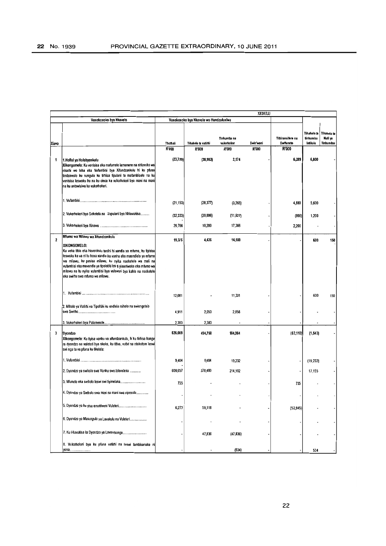|                         |                                                                                                                                                                                                                                                                                                                                                                                                                                        |                   |                                        |                                     | <b>XEDULU</b>      |                                         |                                      |                                     |
|-------------------------|----------------------------------------------------------------------------------------------------------------------------------------------------------------------------------------------------------------------------------------------------------------------------------------------------------------------------------------------------------------------------------------------------------------------------------------|-------------------|----------------------------------------|-------------------------------------|--------------------|-----------------------------------------|--------------------------------------|-------------------------------------|
|                         | Vuxokoxoko bya Nkavelo                                                                                                                                                                                                                                                                                                                                                                                                                 |                   | Vuxokoxoko bya Nkavelo wo Hundzuluxiwa |                                     |                    |                                         |                                      |                                     |
| Xiavo                   |                                                                                                                                                                                                                                                                                                                                                                                                                                        | Thothali<br>R'000 | Tihakelo ta vatirhi<br><b>R'000</b>    | Tinhundzu na<br>vukorhoker<br>R'000 | Swin wani<br>R'000 | Tithiransitere na<br>Swifuneto<br>R'000 | Tihakelo ta<br>tinhundzu<br>latikulu | Tihakelo ta<br>Mali ya<br>Tinhundzu |
|                         |                                                                                                                                                                                                                                                                                                                                                                                                                                        |                   |                                        |                                     |                    |                                         |                                      |                                     |
| 1                       | 1. Hofisi ya Holobyenkulu<br>Xikongomelo: Ku vonisisa eka matumele lamanene na nhluvuko wa<br>nkarhi wo leha eka Vufambisi bya Xifundzankulu hi ku pfuna<br>tindzawulo ku sungula ku tirhisa tipulani ta mafambisele na ku<br>vonisisa leswaku ku na ku cinca ka vukomokeri bya mani na mani<br>na ku antswisiwa ka vukomokeri.                                                                                                        | (23, 720)         | (38, 983)                              | 2,174                               |                    | 6,289                                   | 6,800                                |                                     |
|                         |                                                                                                                                                                                                                                                                                                                                                                                                                                        | (21, 153)         | (28, 377)                              | (3,265)                             |                    | 4,889                                   | 5,600                                |                                     |
|                         | 2. Vukorhokeri byo Seketela na Vupulani bya Nhluvukiso                                                                                                                                                                                                                                                                                                                                                                                 | (32, 333)         | (20, 806)                              | (11, 927)                           |                    | (800)                                   | 1,200                                |                                     |
|                         |                                                                                                                                                                                                                                                                                                                                                                                                                                        | 29,766            | 10,200                                 | 17,366                              |                    | 2,200                                   |                                      |                                     |
| $\overline{\mathbf{z}}$ | Mfumo wa Milawu wa Xifundzankulu<br>XIKONGOMELO:<br>Ku veka tihlo eka Huvonkulu tanihi hi xandla xa mfumo, ku tiyisisa<br>teswaku ka ya ni ku hoxa xandla ka yanhu eka maendlelo ya mfumo<br>wa milawu, ku pasisa milawu, ku nyika nseketelo wa mali na<br>vufambisi eka mavandla ya tipolotiki leti ti yimeriwaka eka mfumo wa<br>milawu na ku nyika vufambisi bya vulawuri bya kahle na nseketelo<br>eka swirho swa mfumo wa milawu. | 19,375            | 4.436                                  | 14,189                              |                    |                                         | 600                                  | 150                                 |
|                         |                                                                                                                                                                                                                                                                                                                                                                                                                                        | 12,081            |                                        | 11,331                              |                    |                                         | 600                                  | 150                                 |
|                         | 2. Miholo ya Vatirhi va Tipolitiki ku endlela miholo na swiengetelo                                                                                                                                                                                                                                                                                                                                                                    | 4,911             | 2,053                                  | 2,858                               |                    |                                         |                                      |                                     |
|                         |                                                                                                                                                                                                                                                                                                                                                                                                                                        | 2,383             | 2,383                                  |                                     |                    |                                         |                                      |                                     |
| 3                       | <b>Dyondzo</b><br>Xikongomelo: Ku tiyisa vanhu va xifundzankulu, hi ku tirhisa kungu<br>ra dyondzo na vuleteri bya nkoka, ku titiva, vutivi na ntokotom leswi<br>swi nga ta va pfuna ku fikelela:                                                                                                                                                                                                                                      | 626,069           | 494,758                                | 184,964                             |                    | (52, 110)                               | (1, 543)                             |                                     |
|                         |                                                                                                                                                                                                                                                                                                                                                                                                                                        | 9,404             | 9,404                                  | 19,232                              |                    |                                         | (19, 232)                            |                                     |
|                         | 2. Dyondzo ya swikolo swa Vanhu swo toloveleka                                                                                                                                                                                                                                                                                                                                                                                         | 609,657           | 378,400                                | 214,102                             |                    |                                         | 17,155                               |                                     |
|                         |                                                                                                                                                                                                                                                                                                                                                                                                                                        | 735               |                                        |                                     |                    | 735                                     |                                      |                                     |
|                         | 4. Dyondzo ya Swikolo swa mani na mani swa xipexele                                                                                                                                                                                                                                                                                                                                                                                    |                   |                                        |                                     |                    |                                         |                                      |                                     |
|                         | 5. Dyondzo ya ku yisa emahlweni Vuleten                                                                                                                                                                                                                                                                                                                                                                                                | 6,273             | 59,118                                 |                                     |                    | (52, 845)                               |                                      |                                     |
|                         | 6. Dyondzo ya Masungulo ya Lavakulu na Vuleten                                                                                                                                                                                                                                                                                                                                                                                         |                   |                                        |                                     |                    |                                         |                                      |                                     |
|                         | 7. Ku Hiuvukisa ka Dyondzo ya Lavantsongo                                                                                                                                                                                                                                                                                                                                                                                              |                   | 47,836                                 | (47, 836)                           |                    |                                         |                                      |                                     |
|                         | 8. Vukorhoken bya ku pfuna vatirhi na leswi fambisanaka ni<br>yona                                                                                                                                                                                                                                                                                                                                                                     |                   |                                        | (534)                               |                    |                                         | 534                                  |                                     |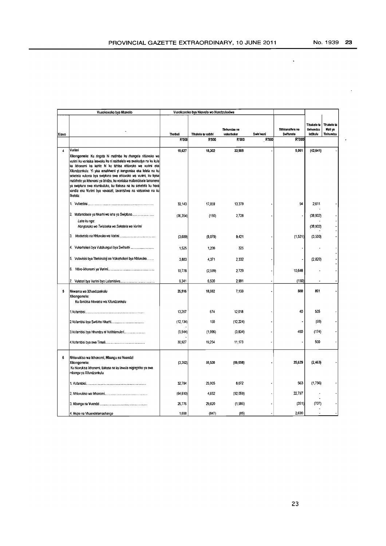$\overline{a}$ 

 $\hat{\mathbf{r}}$ 

|       | Vuxokoxoko bya Nkavelo                                                                                                                                                                                                                                                                                                                                                                                                                                                                                                                                         |           | Vuxokoxoko bya Nkavelo wo Hundzuluxiwa |                            |           |                                |                                             |                                    |
|-------|----------------------------------------------------------------------------------------------------------------------------------------------------------------------------------------------------------------------------------------------------------------------------------------------------------------------------------------------------------------------------------------------------------------------------------------------------------------------------------------------------------------------------------------------------------------|-----------|----------------------------------------|----------------------------|-----------|--------------------------------|---------------------------------------------|------------------------------------|
| Xiavo |                                                                                                                                                                                                                                                                                                                                                                                                                                                                                                                                                                | Thothali  | Tihakelo ta vatirbi                    | Tinhundzu na<br>vukorhoker | Swin wani | Tithiransifere na<br>Swiftmeto | Tihakelo ta<br>tinhundzu<br><b>Jetikulu</b> | Thakelo ta<br>Mali ya<br>Tinhundzu |
|       |                                                                                                                                                                                                                                                                                                                                                                                                                                                                                                                                                                | R'000     | R'000                                  | R'000                      | R'000     | R'000                          |                                             |                                    |
| 4     | Vurimi<br>Xikongomelo: Ku ringeta hi matimba ku rhangela nhluvuko wa<br>vurimi ku vonisisa leswaku ku ni nsirhelelo wa swakudya na ku kula<br>ka ikhonomi ka kahle hi ku tirhisa nhluvuko wa vurimi eka<br>Xifundzankulu. Yi yisa emahlweni yi kongomisa eka letela na ku<br>seketela vukona bya swiptuno swa nhluvuko wa vumni, ku tiyisa<br>matirhele ya ikhonomi ya bindzu, ku vonisisa mafambisele lamanene<br>ya swipfuno swa ntumbuluko, ku tiakusa na ku seketela ku hoxa<br>xandla eka Vurimi bya vavasati, lavantshwa na vatsoniwa na ku<br>fikelela: | 18,627    | 18,302                                 | 33,905                     |           | 9.061                          | (42, 641)                                   |                                    |
|       |                                                                                                                                                                                                                                                                                                                                                                                                                                                                                                                                                                | 33,143    | 17,059                                 | 13,379                     |           | 94                             | 2,611                                       |                                    |
|       | Laha ku nga:<br>Nongonoko wo Twisiseka wo Seketela wa Vurimi                                                                                                                                                                                                                                                                                                                                                                                                                                                                                                   | (36, 354) | (150)                                  | 2.728                      |           |                                | (38, 932)<br>(38, 932)                      |                                    |
|       | I3.                                                                                                                                                                                                                                                                                                                                                                                                                                                                                                                                                            | (3,689)   | (8,079)                                | 9.421                      |           | (1,531)                        | (3,500)                                     |                                    |
|       | 4. Vukorhokeri bya Vutshunguri bya Swiharhi                                                                                                                                                                                                                                                                                                                                                                                                                                                                                                                    | 1,525     | 1,200                                  | 325                        |           |                                |                                             |                                    |
|       | 5. Vulavisisi bya Thekinoloji na Vukorhokeri bya Nhluvuko                                                                                                                                                                                                                                                                                                                                                                                                                                                                                                      | 3.883     | 4,371                                  | 2,332                      |           |                                | (2,820)                                     |                                    |
|       | 6.                                                                                                                                                                                                                                                                                                                                                                                                                                                                                                                                                             | 10,778    | (2, 599)                               | 2,729                      |           | 10,648                         |                                             |                                    |
|       |                                                                                                                                                                                                                                                                                                                                                                                                                                                                                                                                                                | 9,341     | 6,500                                  | 2,991                      |           | (150)                          |                                             |                                    |
| 5     | Nkwama wa Xifundzankulu<br>Xikongometo:<br>Ku fambisa Nkwama wa Xifundzanikulu                                                                                                                                                                                                                                                                                                                                                                                                                                                                                 | 26.516    | 18,082                                 | 7,133                      |           | 500                            | 801                                         |                                    |
|       |                                                                                                                                                                                                                                                                                                                                                                                                                                                                                                                                                                | 13,267    | 674                                    | 12,018                     |           | 40                             | 535                                         |                                    |
|       |                                                                                                                                                                                                                                                                                                                                                                                                                                                                                                                                                                | (12, 134) | 150                                    | (12, 224)                  |           |                                | (60)                                        |                                    |
|       | 3. Vufambisi bya Nhundzu ni Vutihlamuleri                                                                                                                                                                                                                                                                                                                                                                                                                                                                                                                      | (5, 544)  | (1,996)                                | (3,834)                    |           | 460                            | (174)                                       |                                    |
|       |                                                                                                                                                                                                                                                                                                                                                                                                                                                                                                                                                                | 30,927    | 19.254                                 | 11,173                     |           |                                | 500                                         |                                    |
| 6     | Nhluvukiso wa Ikhonomi, Mbangu na Vuendzi<br>Xikongomelo:<br>Ku hkuvukisa Ikhonomi, tlakusa na ku lawula migingiriko ya swa<br>mbangu ya Xifundzankulu                                                                                                                                                                                                                                                                                                                                                                                                         | (3, 362)  | 59,530                                 | ${06.058}$                 |           | 25,629                         | (2, 463)                                    |                                    |
|       |                                                                                                                                                                                                                                                                                                                                                                                                                                                                                                                                                                | 32.784    | 25,905                                 | 8.072                      |           | 563                            | (1,756)                                     |                                    |
|       |                                                                                                                                                                                                                                                                                                                                                                                                                                                                                                                                                                | (64, 610) | 4,652                                  | (92,059)                   |           | 22,797                         |                                             |                                    |
|       |                                                                                                                                                                                                                                                                                                                                                                                                                                                                                                                                                                | 26,776    | 29,820                                 | (1, 986)                   |           | (351)                          | (707)                                       |                                    |
|       | 4. Mupo na Vhuendelamashango                                                                                                                                                                                                                                                                                                                                                                                                                                                                                                                                   | 1,688     | (847)                                  | (85)                       |           | 2.620                          |                                             |                                    |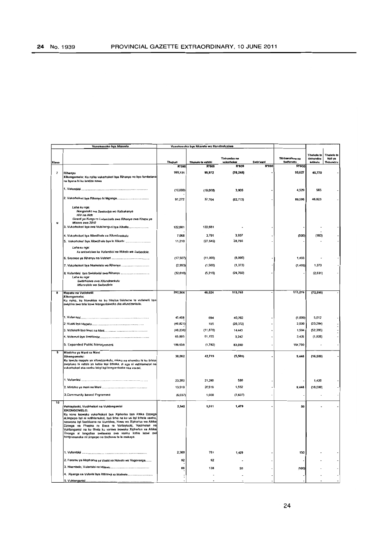|       | Vuxokoxoko bya Nkavelo                                                                                                                   |                   | Vuxokoxoko bya Nkavelo wo Hundzuluxiwa |                            |                           |                           |                          |                        |
|-------|------------------------------------------------------------------------------------------------------------------------------------------|-------------------|----------------------------------------|----------------------------|---------------------------|---------------------------|--------------------------|------------------------|
|       |                                                                                                                                          |                   |                                        |                            |                           |                           |                          |                        |
|       |                                                                                                                                          |                   |                                        | Tinhundzu na               |                           | Tithiransifere na         | Tihakelo ta<br>tinhundzu | Tihakelo ta<br>Mali ya |
| Xiavo |                                                                                                                                          | Thothall<br>R'000 | Tihakelo ta vatirhi<br><b>R'000</b>    | vukorhoker<br><b>R'000</b> | Swin wani<br><b>R'000</b> | Swiftmeto<br><b>R'000</b> | <b>Jetikulu</b>          | Tinhundzu              |
| 7     | Rihanyu                                                                                                                                  | 169,121           | 99,972                                 | (70, 248)                  |                           | 93,627                    | 45,770                   |                        |
|       | Xikongomelo: Ku nyika vukorhokeri bya Rihanyo na byo fambelana                                                                           |                   |                                        |                            |                           |                           |                          |                        |
|       | na byona hi ku landza nawu                                                                                                               |                   |                                        |                            |                           |                           |                          |                        |
|       |                                                                                                                                          | (10,000)          | (19,000)                               | 3,906                      |                           | 4,529                     | 565                      |                        |
|       |                                                                                                                                          |                   |                                        |                            |                           |                           |                          |                        |
|       |                                                                                                                                          | 91,272            | 37,764                                 | (82,713)                   |                           | 89,598                    | 46,623                   |                        |
|       | Laha ku nga:                                                                                                                             |                   |                                        |                            |                           |                           |                          |                        |
|       | Nongonoko wa Swakudya wo Katsakanya<br><b>HIV nn Aicts</b>                                                                               |                   |                                        |                            |                           |                           |                          |                        |
| u     | Giranti ya Kungu ro Lulamisela swa Rihanyo swa Khapu ya<br>Misava swa 2010                                                               |                   |                                        |                            |                           |                           |                          |                        |
|       | 3. Vukorhokeri bya swa Vutshunguri bya Xihatla                                                                                           | 122,681           | 122,681                                |                            |                           |                           |                          |                        |
|       |                                                                                                                                          |                   |                                        |                            |                           |                           |                          |                        |
|       | 4. Vukorhokeri bya Xibedihele xa Xifundzarıkulu                                                                                          | 7,068<br>11,210   | 3,791<br>(27, 545)                     | 3,937<br>38,755            |                           | (500)                     | (160)                    |                        |
|       | Laha ku nga:                                                                                                                             |                   |                                        |                            |                           |                           |                          |                        |
|       | Ku antswisiwa ka Vufambisi na Ntikelo wa Swibedlele.                                                                                     |                   |                                        |                            |                           |                           |                          |                        |
|       |                                                                                                                                          | (17,507)          | (11,000)                               | (8,000)                    |                           | 1,493                     |                          |                        |
|       | 7. Vukorhokeri bya Nseketelo wa Rihanyu                                                                                                  | (2,993)           | (1,500)                                | (1, 373)                   |                           | (1, 493)                  | 1,373                    |                        |
|       |                                                                                                                                          |                   |                                        |                            |                           |                           |                          |                        |
|       | Laha ku nga                                                                                                                              | (32, 610)         | (5,219)                                | (24, 760)                  |                           |                           | (2,631)                  |                        |
|       | Switirhisiwa swa Xifundzankulu<br>Munxelelo wa Swibediele                                                                                |                   |                                        |                            |                           |                           |                          |                        |
|       |                                                                                                                                          |                   |                                        |                            |                           |                           |                          |                        |
| 8     | Mapatu na Vutleketii<br>Xikongomelo:                                                                                                     | 202,964           | 48,524                                 | 115,765                    |                           | 111,270                   | (72.595)                 |                        |
|       | Ku nyika, ku hluvukisa na ku hlayisa tisisteme ta vutleketli tiya                                                                        |                   |                                        |                            |                           |                           |                          |                        |
|       | swiyimo swo tala leswi hlanganisiweke eka xifundzankulu.                                                                                 |                   |                                        |                            |                           |                           |                          |                        |
|       |                                                                                                                                          |                   |                                        |                            |                           |                           |                          |                        |
|       |                                                                                                                                          | 45,468            | 694                                    | 40,762                     |                           | (1,000)                   | 5,012                    |                        |
|       |                                                                                                                                          | (46, 821)         | 335                                    | (26, 372)                  |                           | 2,500                     | (23, 284)                |                        |
|       |                                                                                                                                          | (48, 236)         | (11, 878)                              | 14,443                     |                           | 1,594                     | (52, 395)                |                        |
|       |                                                                                                                                          | 65,895            | 61,155                                 | 3,242                      |                           | 3,426                     | (1, 928)                 |                        |
|       | 5. Expanded Public Management                                                                                                            | 186,658           | (1, 782)                               | 83,690                     |                           | 104,750                   |                          |                        |
| 9     | Mintirho ya Mani na Mani                                                                                                                 |                   |                                        |                            |                           |                           |                          |                        |
|       | Xikongomelo:                                                                                                                             | 30,082            | 42,719                                 | (5, 505)                   |                           | 9,448                     | (16, 580)                |                        |
|       | Ku lawula mapatu ya xifundzankulu, miako na nhundzu hi ku tirhisa<br>swipfuno hi ndlela ya kahle teyi timaka, yi nga ni vutihlamuleri na |                   |                                        |                            |                           |                           |                          |                        |
|       | vukorhoken eka vanhu lebyi byi kongomisaka eka vaxavi.                                                                                   |                   |                                        |                            |                           |                           |                          |                        |
|       |                                                                                                                                          |                   |                                        |                            |                           |                           |                          |                        |
|       |                                                                                                                                          | 23,200            | 21,200                                 | 580                        |                           |                           | 1,420                    |                        |
|       |                                                                                                                                          | 13,519            | 20,519                                 | 1,552                      |                           | 9,448                     | (18,000)                 |                        |
|       | 3. Community based Prgramme                                                                                                              | (6, 637)          | 1,000                                  | (7,637)                    |                           |                           |                          |                        |
| 10    |                                                                                                                                          |                   |                                        |                            |                           |                           |                          |                        |
|       | Vuhlayiseki, Vusirheleri na Vuhlanganisi<br>XIKONGOMELO:                                                                                 | 2,540             | 1,011                                  | 1,479                      |                           | 50                        |                          |                        |
|       | Ku vona leswaku vukomokeri bya Xiphorisa bya Afrika Dzonga                                                                               |                   |                                        |                            |                           |                           |                          |                        |
|       | eLimpopo był ni vutihlamulen, bya tirha na ku va byi tirhela vanhu,<br>naswona byi fambisana na Vumbiwa, Nawu wa Xiphorisa wa Afrika     |                   |                                        |                            |                           |                           |                          |                        |
|       | Dzonga na Phapha ro Basa ra Vuhlayiseki, Vusirheleri na                                                                                  |                   |                                        |                            |                           |                           |                          |                        |
|       | Vuhlanganisi na ku lihela ku voniwa leswaku Xiphonsa xa Afrika<br>kahle<br>leswi<br>zzonga xi languusa swilayeko swa vannu               |                   |                                        |                            |                           |                           |                          |                        |
|       | kongomaneke ni Limpopo ne tindhawu te le makaya.                                                                                         |                   |                                        |                            |                           |                           |                          |                        |
|       |                                                                                                                                          |                   |                                        |                            |                           |                           |                          |                        |
|       |                                                                                                                                          | 2,360             | 781                                    | 1,429                      |                           | 150                       |                          |                        |
|       | 2. Foramu ya Maphorisa ya Vaaki na Nsivelo wa Vugevenga                                                                                  | 92                | 92                                     |                            |                           |                           |                          |                        |
|       |                                                                                                                                          |                   |                                        |                            |                           |                           |                          |                        |
|       |                                                                                                                                          | 88                | 138                                    | 50                         |                           | (100)                     |                          |                        |
|       | 4. Xiyenge xa Vulavisi bya Xitirateji xa Matirele                                                                                        |                   |                                        |                            |                           |                           |                          |                        |
|       | 5. Vuhlanganisi.                                                                                                                         |                   |                                        |                            |                           |                           |                          |                        |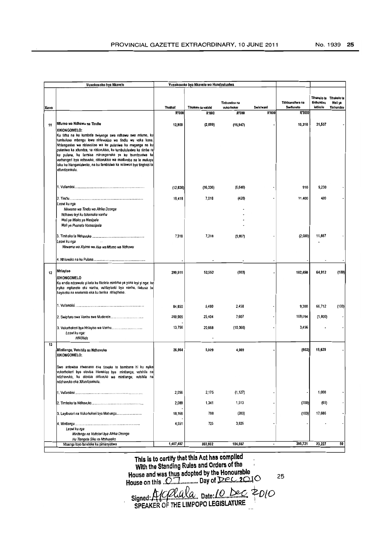|       | Vuxokoxoko bya Nkavelo                                                                                                                                                                                                                                                                                                                                                                                                                                                                    |                 | Vuxokoxoko bya Nkavelo wo Hundzuluxiwa |                            |           |                                |                                             |                                     |
|-------|-------------------------------------------------------------------------------------------------------------------------------------------------------------------------------------------------------------------------------------------------------------------------------------------------------------------------------------------------------------------------------------------------------------------------------------------------------------------------------------------|-----------------|----------------------------------------|----------------------------|-----------|--------------------------------|---------------------------------------------|-------------------------------------|
|       |                                                                                                                                                                                                                                                                                                                                                                                                                                                                                           | <b>Thothali</b> | Tihakelo ta vatirhi                    | Tinhundzu na<br>vukorhoker | Swin wani | Tithiransifore na<br>Swifuneto | Tihakelo ta<br>tinhundzu<br><b>Jotikulu</b> | Tihakelo ta<br>Mali ya<br>Tinhundzu |
| Xlavo |                                                                                                                                                                                                                                                                                                                                                                                                                                                                                           | R'000           | R'000                                  | <b>R'000</b>               | R'000     | <b>R'000</b>                   |                                             |                                     |
|       |                                                                                                                                                                                                                                                                                                                                                                                                                                                                                           |                 |                                        |                            |           |                                |                                             |                                     |
| 11    | Mumo wa Ndhawu na Tindiu                                                                                                                                                                                                                                                                                                                                                                                                                                                                  | 12,900          | (2,000)                                | (16, 947)                  |           | 10,310                         | 21,537                                      |                                     |
|       | XIKONGOMELO:<br>Ku tirha na ku kambela swiyenge swa ndhawu swa mfumo, ku<br>tumbuluxa mbangu lowu nhluvukiso wa tindlu wu vaka kona.<br>Nhlanganiso wa nhluvukiso wa ku pulaniwa ka muganga na ku<br>pulaniwa ka xifundza, na nhluvukiso, ku tumbululuxiwa ka rimba ra<br>ku pulana, ku fambisa minongonoko ya ku tsundzuxiwa ka<br>vurhangeri bya ndhavuko, nhluvukiso wa madoroba na le makaya<br>loku ku hlanganisiweke, na ku fambisiwa ka vulawuri bya tinghozi ta<br>xifundzankulu. |                 |                                        |                            |           |                                |                                             |                                     |
|       |                                                                                                                                                                                                                                                                                                                                                                                                                                                                                           | (12, 836)       | (16, 336)                              | (6, 640)                   |           | 910                            | 9,230                                       |                                     |
|       |                                                                                                                                                                                                                                                                                                                                                                                                                                                                                           | 18,418          | 7,018                                  | (420)                      |           | 11,400                         | 420                                         |                                     |
|       | Leswi ku nga                                                                                                                                                                                                                                                                                                                                                                                                                                                                              |                 |                                        |                            |           |                                |                                             |                                     |
|       | Nkwama wa Tindiu wa Afrika Dzonga<br>Ndhawu leyi ku tshamaka vanhu                                                                                                                                                                                                                                                                                                                                                                                                                        |                 |                                        |                            |           |                                |                                             |                                     |
|       | Mali ya Miako ya Masipala                                                                                                                                                                                                                                                                                                                                                                                                                                                                 |                 |                                        |                            |           |                                |                                             |                                     |
|       | Mali yo Pvuneta Vamasipala                                                                                                                                                                                                                                                                                                                                                                                                                                                                |                 |                                        |                            |           |                                |                                             |                                     |
|       |                                                                                                                                                                                                                                                                                                                                                                                                                                                                                           | 7,316           | 7,318                                  | (9, 667)                   |           | (2,000)                        | 11,867                                      |                                     |
|       | Leswi ku nga<br>Nkwama wa Xiyimo wo Aka wa Mfurno wa Ndhawu                                                                                                                                                                                                                                                                                                                                                                                                                               |                 |                                        |                            |           |                                |                                             |                                     |
|       |                                                                                                                                                                                                                                                                                                                                                                                                                                                                                           |                 |                                        |                            |           |                                |                                             |                                     |
| 12    | <b>Nhlayiso</b><br><b>XIKONGOMELO</b><br>Ku endla ndzawulo yi kota ku fikelela mintimo ya yona leyi yi nga: ku<br>nyika mpfuneto eka vanhu, vuhlayiseki bya vanhu, tlakusa ku<br>hayiseka na nseketelo eka ku herisa nhlupheko.                                                                                                                                                                                                                                                           | 299,511         | 52,552                                 | (303)                      |           | 182,450                        | 64,912                                      | (100)                               |
|       |                                                                                                                                                                                                                                                                                                                                                                                                                                                                                           | 64,650          | 6,460                                  | 2,458                      |           | 9,300                          | 66,712                                      | (100)                               |
|       |                                                                                                                                                                                                                                                                                                                                                                                                                                                                                           | 200,905         | 25,404                                 | 7,607                      |           | 169,694                        | (1, 800)                                    |                                     |
|       | Leswi ku nga:<br><b>HIV/Aids</b>                                                                                                                                                                                                                                                                                                                                                                                                                                                          | 13,756          | 20,668                                 | (10, 366)                  |           | 3,456                          |                                             |                                     |
| 13    |                                                                                                                                                                                                                                                                                                                                                                                                                                                                                           |                 |                                        |                            |           |                                |                                             |                                     |
|       | Mintlangu, Vutshila na Ndhavuko<br>XIKONGOMELO:                                                                                                                                                                                                                                                                                                                                                                                                                                           | 26,854          | 5,029                                  | 4,009                      |           | (803)                          | 18,629                                      |                                     |
|       | Swo antswisa ntwanano eka tinxaka to hambana hi ku nyika<br>vukorhokeri byo olovisa hluvukiso bya mintlangu, vutshila na<br>ndzhavuko, ku olovisa nhluvuko wa mintlangu, vutshila na<br>ndzhavuko eka Xifundzankulu.                                                                                                                                                                                                                                                                      |                 |                                        |                            |           |                                |                                             |                                     |
|       |                                                                                                                                                                                                                                                                                                                                                                                                                                                                                           | 2,056           | 2,175                                  | (1, 127)                   |           |                                | 1,008                                       |                                     |
|       |                                                                                                                                                                                                                                                                                                                                                                                                                                                                                           | 2,089           | 1,341                                  | 1,513                      |           | (700)                          | (65)                                        |                                     |
|       | 3. Layiburari na Vukorhokeri bya Mahungu                                                                                                                                                                                                                                                                                                                                                                                                                                                  | 18,168          | 788                                    | (203)                      |           | (103)                          | 17,666                                      |                                     |
|       | Leswi ku nga                                                                                                                                                                                                                                                                                                                                                                                                                                                                              | 4,551           | 725                                    | 3,826                      |           |                                |                                             |                                     |
|       | Mintlangu na Vutiolori bya Afrika Dzonga                                                                                                                                                                                                                                                                                                                                                                                                                                                  |                 |                                        |                            |           |                                |                                             |                                     |
|       | Hu Tlangela Siku ra Ntshuxeko<br>Ntsengo loyo faneleke ku pimanyetiwa                                                                                                                                                                                                                                                                                                                                                                                                                     | 1,407,487       | 803,932                                | 184,557                    |           | 395,721                        | 23,227                                      | 50                                  |

**This is to certify that this Act hes complied With the Standing Rules and Orders of the House and was thus adopted by the Honourable House on** this .. O'.:l... .......... **Day of** :t?~ .. 20.l C 25

 $Signed: 100$   $MeV$   $a_{\text{.}}$  pate: 10  $MeV$   $2010$ **SPEAKER OF THE LIMPOPO LEGISLATURE '.**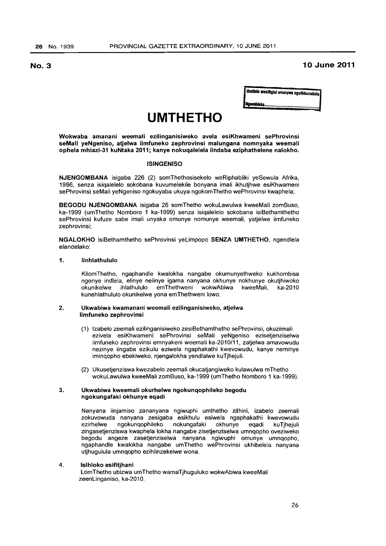**No.3 10 June 2011** 

Umtlolo wesiNgisi uvunywe nguNdunakulu Naotn/IIab ................................................. .

# **UMTHETHO**

Wokwaba amanani weemali ezilinganisiweko avela esiKhwameni sePhrovinsi seMali yeNgeniso, atjelwa iimfuneko zephrovinsi malungana nomnyaka weemali ophela mhlazi-31 kuNtaka 2011; kanye nokuqalelela iindaba eziphathelene nalokho.

# **ISINGENISO**

NJENGOMBANA isigaba 226 (2) somThethosisekelo weRiphabliki yeSewula Afrika, 1996, senza isiqalelelo sokobana kuvumelekile bonyana imali ikhutjhwe esiKhwameni sePhrovinsi seMali yeNgeniso ngokuyaba ukuya ngokomThetho wePhrovinsi kwaphela;

BEGODU NJENGOMBANA isigaba 26 somThetho wokuLawulwa kweeMali zomBuso, ka-1999 (umThetho Nomboro 1 ka-1999) senza isiqalelelo sokobana isiBethamthetho sePhrovinsi kufuze sabe imali unyaka omunye nomunye weemali, yatjelwe iimfuneko zephrovinsi;

NGALOKHO isiBethamthetho sePhrovinsi yeLimpopo SENZA UMTHETHO, ngendlela elandelako:

# 1. linhlathululo

KilomThetho, ngaphandle kwalokha nangabe okumunyethweko kukhombisa ngenye indlela, elinye nelinye igama nanyana okhunye nokhunye okutjhiwoko okunikelwe ihlathululo emThethweni wokwAbiwa kweeMali, ka-2010 kunehlathululo okunikelwe yona emThethweni lowo.

### 2. Ukwabiwa kwamanani weemali ezilinganisiweko, atjelwa limfuneko zephrovinsi

- (1) Izabelo zeemali ezilinganisiweko zesiBethamthetho sePhrovinsi, okuziimali ezivela esiKhwameni sePhrovinsi seMali yeNgeniso ezisetjenziselwa iimfuneko zephrovinsi emnyakeni weemali ka-2010/11, zatjelwa amavowudu nezinye iingaba ezikulu eziwela ngaphakathi kwevowudu, kanye neminye iminqopho ebekiweko, njengalokha yendlalwe kuTjhejuli.
- (2) Ukusetjenziswa kwezabelo zeemali okucatjangiweko kulawulwa mThetho wokuLawulwa kweeMali zomBuso, ka-1999 (umThetho Nomboro 1 ka-1999).

# 3. Ukwabiwa kweemali okurhelwe ngokunqophileko begodu ngokungafaki okhunye eqadi

Nanyana iinjamiso zananyana ngiwuphi umthetho zithini. izabelo zeemali zokuvowuda nanyana zesigaba esikhulu esiwela ngaphakathi kwevowudu ezirhelwe ngokunqophileko nokungafaki okhunye eqadi kuTjhejuli zingasetjenziswa kwaphela lokha nangabe zisetjenziselwa umnqopho oveziweko begodu angeze zasetjenziselwa nanyana ngiwuphi omunye umnqopho, ngaphandle kwalokha nangabe umThetho wePhrovinsi ukhibelela nanyana utjhugulula umnqopho ezihlinzekelwe wona.

# 4. Isihloko esifitjhani

LomThetho ubizwa umThetho wamaTjhuguluko wokwAbiwa kweeMali zeenLinganiso. ka-2010.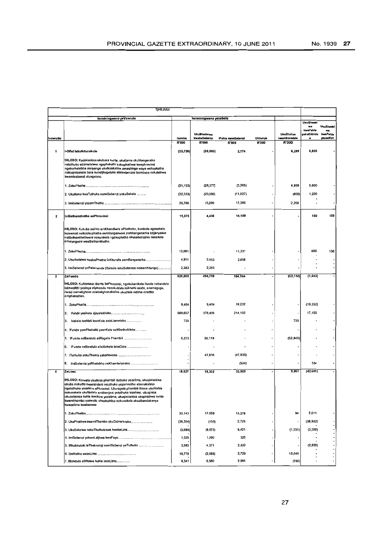| <b>TJHEJULI</b>         |                                                                                                                                                                                                                                                                                                                                                                                                                                     |           |                             |                    |              |                                   |                                                        |                                                 |
|-------------------------|-------------------------------------------------------------------------------------------------------------------------------------------------------------------------------------------------------------------------------------------------------------------------------------------------------------------------------------------------------------------------------------------------------------------------------------|-----------|-----------------------------|--------------------|--------------|-----------------------------------|--------------------------------------------------------|-------------------------------------------------|
|                         | Imininingwana yeVowudu                                                                                                                                                                                                                                                                                                                                                                                                              |           | Imininingwana yesabelo      |                    |              |                                   |                                                        |                                                 |
| <b>Ivowudu</b>          |                                                                                                                                                                                                                                                                                                                                                                                                                                     | Isamba    | UkuBhadelwa<br>kwabaSebenzi | IPahla nemiSebenzi | Okhunye      | <b>UkuDlulisa</b><br>neemBonetela | <b>UkuBhadei</b><br>wa<br>kwoPahla<br>yokuSikimis<br>٠ | <b>UkuBhadel</b><br>wa<br>kwePahla<br>yezeoMali |
|                         |                                                                                                                                                                                                                                                                                                                                                                                                                                     | R'000     | R'000                       | R'000              | <b>R'000</b> | R'000                             |                                                        |                                                 |
| 1                       | I-Ofisi lakaNdunakulu                                                                                                                                                                                                                                                                                                                                                                                                               | (23, 720) | (38, 983)                   | 2,174              |              | 6,289                             | 6,800                                                  |                                                 |
|                         | 1HLOSO: Kuqinisekisa ukubusa kuhle, ukutlama okuhlangeneko<br>netuthuko edzimeleleko ngaphakathi kokuphathwa kwephrovinsi<br>ngokurhelebha iminyango ukufezakalisa amaqhinga wayo wokuphatha<br>nokuqiniseksia bona kunetjhuguluko ebasebenzini bombuso nokulethwa<br>kwemisebenzi okungcono.                                                                                                                                       |           |                             |                    |              |                                   |                                                        |                                                 |
|                         |                                                                                                                                                                                                                                                                                                                                                                                                                                     | (21, 153) | (28, 377)                   | (3,265)            |              | 4,889                             | 5,600                                                  |                                                 |
|                         | 2. Ukutlama kweTuthuko nemiSebenzi yokuSekela                                                                                                                                                                                                                                                                                                                                                                                       | (32, 333) | (20, 806)                   | (11,927)           |              | (800)                             | 1,200                                                  |                                                 |
|                         |                                                                                                                                                                                                                                                                                                                                                                                                                                     | 29,766    | 10,200                      | 17,366             |              | 2,200                             |                                                        |                                                 |
| 2                       | IsiBethamthetho sePhrovinsi                                                                                                                                                                                                                                                                                                                                                                                                         | 19,375    | 4,436                       | 14,189             |              |                                   | 150                                                    | 150                                             |
|                         | IHLOSO: Kukuba nelihlo emKhandlwini oPhetheko, kunikela ngesekelo<br>lezeemali nelezokuphatha eenhlanganweni zombanganarha ezijanyelwe<br>esiBethamthethweni nokunikela ngokuphatha okusebenzako nesekelo<br>ernalungwini wesiBetharmthetho.                                                                                                                                                                                        |           |                             |                    |              |                                   |                                                        |                                                 |
|                         |                                                                                                                                                                                                                                                                                                                                                                                                                                     | 12,081    |                             | 11,331             |              |                                   | 600                                                    | 150                                             |
|                         | 2. Ukurholelwa kwabaPhethe iinKhundla zomBanganarha                                                                                                                                                                                                                                                                                                                                                                                 | 4,911     | 2,053                       | 2,858              |              |                                   |                                                        |                                                 |
|                         | 3. ImiSebenzi yePalamende (ISekelo lokuSebenza neleenKhungo)                                                                                                                                                                                                                                                                                                                                                                        | 2,383     | 2,383                       |                    |              |                                   |                                                        |                                                 |
| $\overline{\mathbf{3}}$ | ZeFundo                                                                                                                                                                                                                                                                                                                                                                                                                             | 626,069   | 494,758                     | 184,964            |              | (52, 110)                         | (1, 543)                                               |                                                 |
|                         | IHLOSO: Kuhlomisa abantu bePhrovinsi, ngokubanikela ifundo nebandulo<br>lekhwalithi yezinga eliphezulu nezakuhlala isikhathi eside, enamagugu,<br>ilwazi namakghono azabakghonakalisa ukudlala indima enetiha<br>emphakathini.                                                                                                                                                                                                      |           |                             |                    |              |                                   |                                                        |                                                 |
|                         |                                                                                                                                                                                                                                                                                                                                                                                                                                     | 9,404     | 9,404                       | 19,232             |              |                                   | (19, 232)                                              |                                                 |
|                         | 2.                                                                                                                                                                                                                                                                                                                                                                                                                                  | 609,657   | 378,400                     | 214,102            |              |                                   | 17,155                                                 |                                                 |
|                         | Isekelo leeMali leenKolo eziziJameleko<br>3.                                                                                                                                                                                                                                                                                                                                                                                        | 735       |                             |                    |              | 735                               |                                                        |                                                 |
|                         | 4. IFundo yomPhakathi yeenKolo eziKhethekileko                                                                                                                                                                                                                                                                                                                                                                                      |           |                             |                    |              |                                   |                                                        |                                                 |
|                         | IFundo neBandulo eliRagela Phambili<br>5.                                                                                                                                                                                                                                                                                                                                                                                           | 6,273     | 59,118                      |                    |              | (52, 845)                         |                                                        |                                                 |
|                         | IFundo neBandulo elisiSekelo labaDala<br>6.                                                                                                                                                                                                                                                                                                                                                                                         |           |                             |                    |              |                                   |                                                        |                                                 |
|                         |                                                                                                                                                                                                                                                                                                                                                                                                                                     |           | 47,836                      | (47, 836)          |              |                                   |                                                        |                                                 |
|                         | ImiSebenzi yeRhelebho neKhambelanako<br>8.                                                                                                                                                                                                                                                                                                                                                                                          |           |                             | (534)              |              |                                   | 534                                                    |                                                 |
| 4                       | ZeLimo                                                                                                                                                                                                                                                                                                                                                                                                                              | 18,627    | 18,302                      | 33,905             |              | 9,061                             | (42, 641)                                              |                                                 |
|                         | IHLOSO: Kulwela ukudosa phambili ituthuko yezelimo, ukuqinisekisa<br>ukuba nokudla kwemindeni netuthuko yezomnotho ebonakalako<br>ngetuthuko yezelimo ePhrovinsi. Ukuragela phambili ihlose ukuhlahla<br>nokusekela ukufikelela emithonjeni yetuthuko lezelimo, ukuqinisa<br>ukusebenza kuhle kwekoro yezelimo, ukuqinisekisa ukuphathwa kuhle<br>kwemithombo yemvelo, ukuphuhlisa nokusekela ukuzibandakanya<br>kwezelimo kwabomma |           |                             |                    |              |                                   |                                                        |                                                 |
|                         |                                                                                                                                                                                                                                                                                                                                                                                                                                     | 33,143    | 17,059                      | 13,379             |              | 94                                | 2,611                                                  |                                                 |
|                         | 2. UkuPhathwa kwemiThombo okuDzimeleleko                                                                                                                                                                                                                                                                                                                                                                                            | (36, 354) | (150)                       | 2,728              |              |                                   | (38, 932)                                              |                                                 |
|                         | 3. UkuSekelwa nokuThuthukiswa kwabaLimi                                                                                                                                                                                                                                                                                                                                                                                             | (3,689)   | (8,079)                     | 9,421              |              | (1,531)                           | (3,500)                                                |                                                 |
|                         |                                                                                                                                                                                                                                                                                                                                                                                                                                     | 1,525     | 1,200                       | 325                |              |                                   |                                                        |                                                 |
|                         | 5. IRhubhululo leTheknoloji nemiSebenzi yeTuthuko                                                                                                                                                                                                                                                                                                                                                                                   | 3,883     | 4,371                       | 2,332              |              |                                   | (2,820)                                                |                                                 |
|                         |                                                                                                                                                                                                                                                                                                                                                                                                                                     | 10,778    | (2, 599)                    | 2,729              |              | 10,648                            |                                                        |                                                 |
|                         | 7. IBandulo eliHlelwe kuhle lezeLimo                                                                                                                                                                                                                                                                                                                                                                                                | 9,341     | 6,500                       | 2,991              |              | (150)                             |                                                        |                                                 |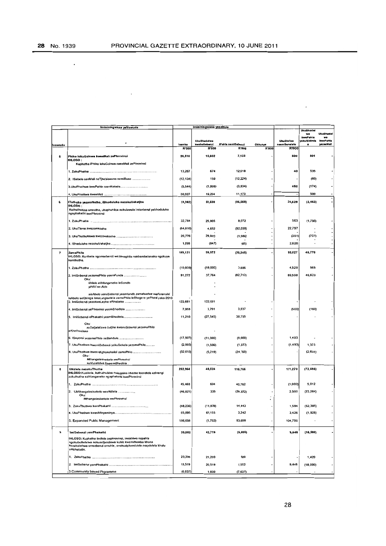$\ddot{\phantom{a}}$ 

 $\sim$ 

|         | Imininingwana yeVowudu                                                                                                          |              | Imininingwana yesabelo             |                    |              |                                   |                        |                       |
|---------|---------------------------------------------------------------------------------------------------------------------------------|--------------|------------------------------------|--------------------|--------------|-----------------------------------|------------------------|-----------------------|
|         |                                                                                                                                 |              |                                    |                    |              |                                   | <b>UkuBhadel</b><br>ws | UkuBhade              |
|         |                                                                                                                                 |              |                                    |                    |              |                                   | kwePahla               | wa                    |
|         |                                                                                                                                 | Isamba       | <b>UkuBhadelwa</b><br>kwabaSebenzi | IPahla nemiSebenzi | Okhunye      | <b>UkuDiutise</b><br>neemBonalelo | rokuSikimis            | kwePahla<br>yezaeMall |
| tvowudu |                                                                                                                                 | <b>R'000</b> | <b>R'000</b>                       | <b>R'000</b>       | <b>R'000</b> | <b>R'000</b>                      |                        |                       |
|         |                                                                                                                                 |              |                                    |                    |              |                                   |                        |                       |
| 5       | Phiko lokuGoinwa kweeMali zePhrovinsi<br>IHLOSO:                                                                                | 26,516       | 18,082                             | 7,133              |              | 500                               | 801                    |                       |
|         | Kuphatha iPhiko tokuGcinwa kweeMali zePhrovinsi                                                                                 |              |                                    |                    |              |                                   |                        |                       |
|         |                                                                                                                                 |              |                                    |                    |              |                                   |                        |                       |
|         |                                                                                                                                 | 13,267       | 674                                | 12,018             |              | 40                                | 535                    |                       |
|         | 2. ISabelo seeMali neTjhebiswano nemiBuso                                                                                       | (12, 134)    | 150                                | (12, 224)          |              |                                   | (60)                   |                       |
|         |                                                                                                                                 |              |                                    |                    |              |                                   |                        |                       |
|         | 3.UkuPhathwa kwePahla neenKolodo                                                                                                | (5, 544)     | (1,996)                            | (3, 834)           |              | 460                               | (174)                  |                       |
|         |                                                                                                                                 | 30,927       | 19,254                             | 11,173             |              |                                   | 500                    |                       |
|         |                                                                                                                                 |              |                                    |                    |              |                                   |                        |                       |
| 6       | lTuthuko yezomNotho, iBhoduluko nazokuVakatjha<br><b>IHLOSO:</b>                                                                | (3, 362)     | 69,630                             | (86,068)           |              | 25,629                            | (2, 463)               |                       |
|         | Kuthuthukisa umnotho, ukuphuhlisa nokulawula imisebenzi yebhoduluko                                                             |              |                                    |                    |              |                                   |                        |                       |
|         | ngaphakathi kwePhrovinsi                                                                                                        |              |                                    |                    |              |                                   |                        |                       |
|         |                                                                                                                                 | 32,784       | 25,905                             | 8,072              |              | 563                               | (1,756)                |                       |
|         |                                                                                                                                 |              |                                    |                    |              |                                   |                        |                       |
|         | 2. UkuTlarna kwezomNotho                                                                                                        | (64, 610)    | 4,652                              | (92, 059)          |              | 22,797                            |                        |                       |
|         |                                                                                                                                 | 26,776       | 29,820                             | (1, 986)           |              | (351)                             | (707)                  |                       |
|         |                                                                                                                                 |              |                                    |                    |              |                                   |                        |                       |
|         |                                                                                                                                 | 1,688        | (847)                              | (85)               |              | 2,620                             |                        |                       |
|         |                                                                                                                                 |              |                                    |                    |              | 93,627                            | 45,770                 |                       |
| 7       | ZamaPhilo<br>IHLOSO; Kunikela ngomsebenzi wezamaphilo nokhambelanako ngokuya                                                    | 169,121      | 99,972                             | (70, 248)          |              |                                   |                        |                       |
|         | komthetho.                                                                                                                      |              |                                    |                    |              |                                   |                        |                       |
|         |                                                                                                                                 | (10,000)     | (19,000)                           | 3,906              |              | 4,529                             | 565                    |                       |
|         |                                                                                                                                 |              |                                    |                    |              |                                   |                        |                       |
|         | 2. ImiSebenzi yezamaPhilo yeemFunda                                                                                             | 91,272       | 37,764                             | (82, 713)          |              | 89,598                            | 46,623                 |                       |
|         | Oku:<br>liHlelo eliHlangeneko leSondlo                                                                                          |              |                                    |                    |              |                                   |                        |                       |
|         | yiHIV ne-Aids                                                                                                                   |              |                                    |                    |              |                                   |                        |                       |
|         |                                                                                                                                 |              |                                    |                    |              |                                   |                        |                       |
|         | sisAbelo semiSebenzi yeemfundo zamalwelwe weForensiki<br>IsAbelo seQhinga lokuLungiselela zamaPhilo leBhegere yePhasi yaka-2010 |              |                                    |                    |              |                                   |                        |                       |
|         | 3. ImiSebenzi yezokweLapha eRhabako                                                                                             | 122,681      | 122,681                            |                    |              |                                   |                        |                       |
|         |                                                                                                                                 |              |                                    |                    |              |                                   |                        |                       |
|         | 4. ImiSebenzi yePhrovinsi yeemBhedlela                                                                                          | 7,068        | 3,791                              | 3,937              |              | (500)                             | (160)                  |                       |
|         | 5. ImiSebenzi ePhakathi yeemBhedlela                                                                                            | 11,210       | (27, 545)                          | 38,755             |              |                                   |                        |                       |
|         | Oku.                                                                                                                            |              |                                    |                    |              |                                   |                        |                       |
|         | kuSatjalaliswa butjha kwerniSebenzi yezamaPhilo                                                                                 |              |                                    |                    |              |                                   |                        |                       |
|         | eKhethekileko                                                                                                                   |              |                                    |                    |              |                                   |                        |                       |
|         | 6. ISayensi yezamaPhilo neBandulo                                                                                               | (17, 507)    | (11,000)                           | (B,000)            |              | 1,493                             |                        |                       |
|         |                                                                                                                                 |              |                                    |                    |              |                                   |                        |                       |
|         | 7. UkuPhathwa kwemiSebenzi yokuSekela yezamaPhilo                                                                               | (2,993)      | (1,500)                            | (1,373)            |              | (1,493)                           | 1,373                  |                       |
|         | 8. UkuPhathwa kweenKghonakalisi zamaPhilo                                                                                       | (32, 610)    | (5, 219)                           | (24, 760)          |              |                                   | (2,631)                |                       |
|         | Oku:<br>Mihangalasisekelo waPhrovinsi                                                                                           |              |                                    |                    |              |                                   |                        |                       |
|         | kuVuselelwa kweemBhedlela                                                                                                       |              |                                    |                    |              |                                   |                        |                       |
| 8       | liNdlela nezokuThutha                                                                                                           | 202,964      | 48,524                             | 116,755            |              | 111,270                           | (72, 696)              |                       |
|         | IHLOSO:Kunikela, kuthuthukisa nokugcina imemo leendlela ezinengi                                                                |              |                                    |                    |              |                                   |                        |                       |
|         | zokuthutha ezihlanganeko ngaphakathi kwePhrovinsi                                                                               |              |                                    |                    |              |                                   |                        |                       |
|         |                                                                                                                                 | 45,468       | 694                                | 40,762             |              | (1,000)                           | 5,012                  |                       |
|         |                                                                                                                                 |              |                                    |                    |              |                                   |                        |                       |
|         | 2. UMthangalasisekelo weeNdlela<br>Oku:                                                                                         | (46, 821)    | 335                                | (26, 372)          |              | 2,500                             | (23, 284)              |                       |
|         | Mthangalasisekelo wePhrovinsi                                                                                                   |              |                                    |                    |              |                                   |                        |                       |
|         |                                                                                                                                 | (48, 236)    | (11, 878)                          | 14,443             |              | 1,594                             | (52, 395)              |                       |
|         |                                                                                                                                 |              |                                    |                    |              |                                   |                        |                       |
|         |                                                                                                                                 | 65,895       | 61,155                             | 3,242              |              | 3,426                             | (1,928)                |                       |
|         | 5. Expanded Public Management                                                                                                   | 186,658      | (1,782)                            | 83,690             |              | 104,750                           |                        |                       |
|         |                                                                                                                                 |              |                                    |                    |              |                                   |                        |                       |
| 9       | ImiSebenzi yomPhakathi                                                                                                          | 30,082       | 42,719                             |                    |              |                                   |                        |                       |
|         |                                                                                                                                 |              |                                    | ${6,606}$          |              | 9,448                             | (16, 680)              |                       |
|         | IHLOSO: Kuphatha iindlela zephrovinsi, imakhiwo nepahla<br>ngokubuthelelwa nokusetjenziswa kuhle kwemithombo khona              |              |                                    |                    |              |                                   |                        |                       |
|         | kuzakulethwa umsebenzi omuhle, onokuziphendulela noqalelela khulu                                                               |              |                                    |                    |              |                                   |                        |                       |
|         | umphakathi.                                                                                                                     |              |                                    |                    |              |                                   |                        |                       |
|         |                                                                                                                                 | 23,200       | 21,200                             | 580                |              |                                   | 1,420                  |                       |
|         |                                                                                                                                 |              |                                    |                    |              |                                   |                        |                       |
|         |                                                                                                                                 | 13,519       | 20,519                             | 1,552              |              | 9,448                             | (18,000)               |                       |
|         | 3. Community based Prgramme                                                                                                     | (6, 637)     | 1,000                              | (7,637)            |              |                                   |                        |                       |
|         |                                                                                                                                 |              |                                    |                    |              |                                   |                        |                       |

 $\sim$